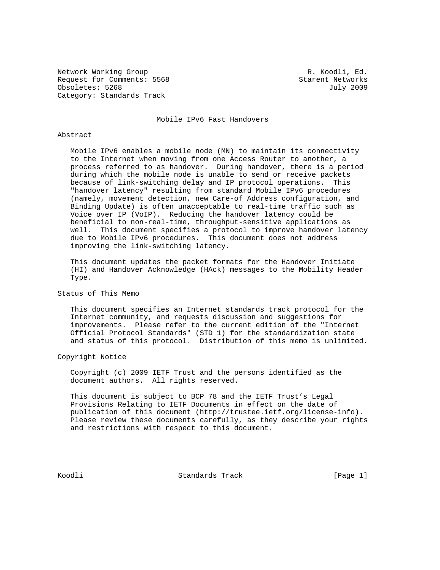Network Working Group **R. Koodli**, Ed. Request for Comments: 5568 Starent Networks Obsoletes: 5268 July 2009 Category: Standards Track

Mobile IPv6 Fast Handovers

## Abstract

 Mobile IPv6 enables a mobile node (MN) to maintain its connectivity to the Internet when moving from one Access Router to another, a process referred to as handover. During handover, there is a period during which the mobile node is unable to send or receive packets because of link-switching delay and IP protocol operations. This "handover latency" resulting from standard Mobile IPv6 procedures (namely, movement detection, new Care-of Address configuration, and Binding Update) is often unacceptable to real-time traffic such as Voice over IP (VoIP). Reducing the handover latency could be beneficial to non-real-time, throughput-sensitive applications as well. This document specifies a protocol to improve handover latency due to Mobile IPv6 procedures. This document does not address improving the link-switching latency.

 This document updates the packet formats for the Handover Initiate (HI) and Handover Acknowledge (HAck) messages to the Mobility Header Type.

# Status of This Memo

 This document specifies an Internet standards track protocol for the Internet community, and requests discussion and suggestions for improvements. Please refer to the current edition of the "Internet Official Protocol Standards" (STD 1) for the standardization state and status of this protocol. Distribution of this memo is unlimited.

Copyright Notice

 Copyright (c) 2009 IETF Trust and the persons identified as the document authors. All rights reserved.

 This document is subject to BCP 78 and the IETF Trust's Legal Provisions Relating to IETF Documents in effect on the date of publication of this document (http://trustee.ietf.org/license-info). Please review these documents carefully, as they describe your rights and restrictions with respect to this document.

Koodli Standards Track [Page 1]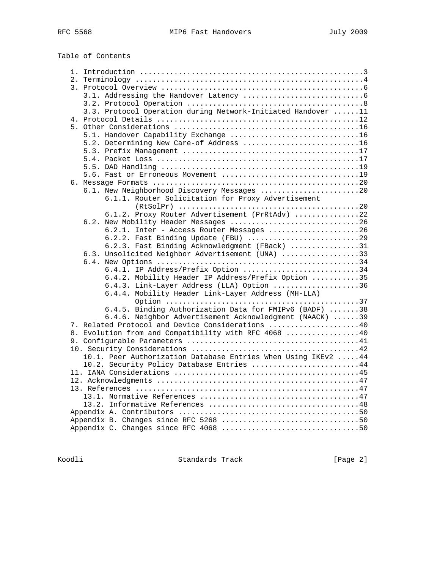|  | 3.3. Protocol Operation during Network-Initiated Handover 11   |  |
|--|----------------------------------------------------------------|--|
|  |                                                                |  |
|  |                                                                |  |
|  | 5.1. Handover Capability Exchange 16                           |  |
|  | 5.2. Determining New Care-of Address 16                        |  |
|  |                                                                |  |
|  |                                                                |  |
|  |                                                                |  |
|  |                                                                |  |
|  |                                                                |  |
|  | 6.1. New Neighborhood Discovery Messages 20                    |  |
|  | 6.1.1. Router Solicitation for Proxy Advertisement             |  |
|  |                                                                |  |
|  | 6.1.2. Proxy Router Advertisement (PrRtAdv) 22                 |  |
|  | 6.2. New Mobility Header Messages 26                           |  |
|  | 6.2.1. Inter - Access Router Messages 26                       |  |
|  | 6.2.2. Fast Binding Update (FBU) 29                            |  |
|  | 6.2.3. Fast Binding Acknowledgment (FBack) 31                  |  |
|  | 6.3. Unsolicited Neighbor Advertisement (UNA) 33               |  |
|  |                                                                |  |
|  | 6.4.1. IP Address/Prefix Option 34                             |  |
|  | 6.4.2. Mobility Header IP Address/Prefix Option 35             |  |
|  | 6.4.3. Link-Layer Address (LLA) Option 36                      |  |
|  | 6.4.4. Mobility Header Link-Layer Address (MH-LLA)             |  |
|  |                                                                |  |
|  | 6.4.5. Binding Authorization Data for FMIPv6 (BADF) 38         |  |
|  | 6.4.6. Neighbor Advertisement Acknowledgment (NAACK) 39        |  |
|  | 7. Related Protocol and Device Considerations 40               |  |
|  | 8. Evolution from and Compatibility with RFC 4068 40           |  |
|  |                                                                |  |
|  |                                                                |  |
|  | 10.1. Peer Authorization Database Entries When Using IKEv2  44 |  |
|  | 10.2. Security Policy Database Entries 44                      |  |
|  |                                                                |  |
|  |                                                                |  |
|  |                                                                |  |
|  |                                                                |  |
|  |                                                                |  |
|  |                                                                |  |
|  |                                                                |  |
|  | Appendix C. Changes since RFC 4068 50                          |  |
|  |                                                                |  |

Koodli Standards Track [Page 2]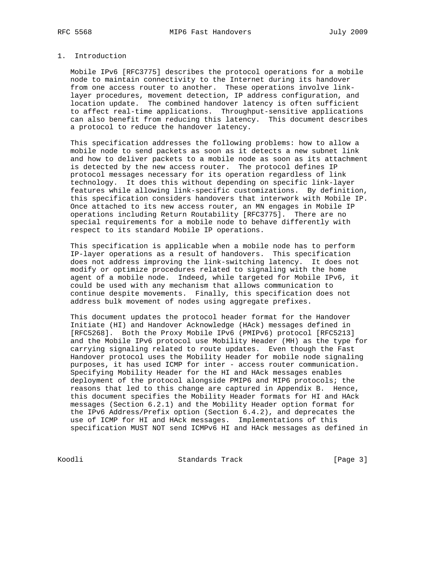# 1. Introduction

 Mobile IPv6 [RFC3775] describes the protocol operations for a mobile node to maintain connectivity to the Internet during its handover from one access router to another. These operations involve link layer procedures, movement detection, IP address configuration, and location update. The combined handover latency is often sufficient to affect real-time applications. Throughput-sensitive applications can also benefit from reducing this latency. This document describes a protocol to reduce the handover latency.

 This specification addresses the following problems: how to allow a mobile node to send packets as soon as it detects a new subnet link and how to deliver packets to a mobile node as soon as its attachment is detected by the new access router. The protocol defines IP protocol messages necessary for its operation regardless of link technology. It does this without depending on specific link-layer features while allowing link-specific customizations. By definition, this specification considers handovers that interwork with Mobile IP. Once attached to its new access router, an MN engages in Mobile IP operations including Return Routability [RFC3775]. There are no special requirements for a mobile node to behave differently with respect to its standard Mobile IP operations.

 This specification is applicable when a mobile node has to perform IP-layer operations as a result of handovers. This specification does not address improving the link-switching latency. It does not modify or optimize procedures related to signaling with the home agent of a mobile node. Indeed, while targeted for Mobile IPv6, it could be used with any mechanism that allows communication to continue despite movements. Finally, this specification does not address bulk movement of nodes using aggregate prefixes.

 This document updates the protocol header format for the Handover Initiate (HI) and Handover Acknowledge (HAck) messages defined in [RFC5268]. Both the Proxy Mobile IPv6 (PMIPv6) protocol [RFC5213] and the Mobile IPv6 protocol use Mobility Header (MH) as the type for carrying signaling related to route updates. Even though the Fast Handover protocol uses the Mobility Header for mobile node signaling purposes, it has used ICMP for inter - access router communication. Specifying Mobility Header for the HI and HAck messages enables deployment of the protocol alongside PMIP6 and MIP6 protocols; the reasons that led to this change are captured in Appendix B. Hence, this document specifies the Mobility Header formats for HI and HAck messages (Section 6.2.1) and the Mobility Header option format for the IPv6 Address/Prefix option (Section 6.4.2), and deprecates the use of ICMP for HI and HAck messages. Implementations of this specification MUST NOT send ICMPv6 HI and HAck messages as defined in

Koodli Standards Track [Page 3]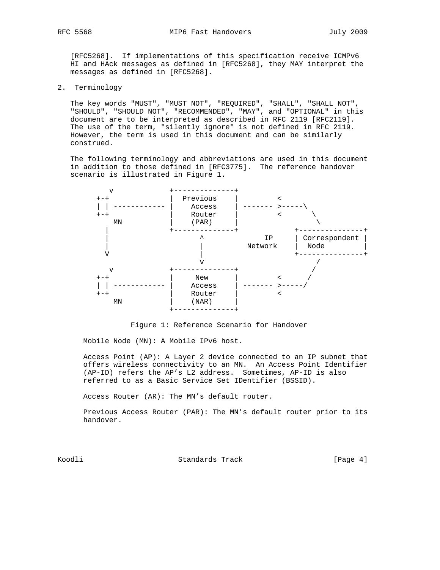[RFC5268]. If implementations of this specification receive ICMPv6 HI and HAck messages as defined in [RFC5268], they MAY interpret the messages as defined in [RFC5268].

2. Terminology

 The key words "MUST", "MUST NOT", "REQUIRED", "SHALL", "SHALL NOT", "SHOULD", "SHOULD NOT", "RECOMMENDED", "MAY", and "OPTIONAL" in this document are to be interpreted as described in RFC 2119 [RFC2119]. The use of the term, "silently ignore" is not defined in RFC 2119. However, the term is used in this document and can be similarly construed.

 The following terminology and abbreviations are used in this document in addition to those defined in [RFC3775]. The reference handover scenario is illustrated in Figure 1.





Mobile Node (MN): A Mobile IPv6 host.

 Access Point (AP): A Layer 2 device connected to an IP subnet that offers wireless connectivity to an MN. An Access Point Identifier (AP-ID) refers the AP's L2 address. Sometimes, AP-ID is also referred to as a Basic Service Set IDentifier (BSSID).

Access Router (AR): The MN's default router.

 Previous Access Router (PAR): The MN's default router prior to its handover.

Koodli Standards Track [Page 4]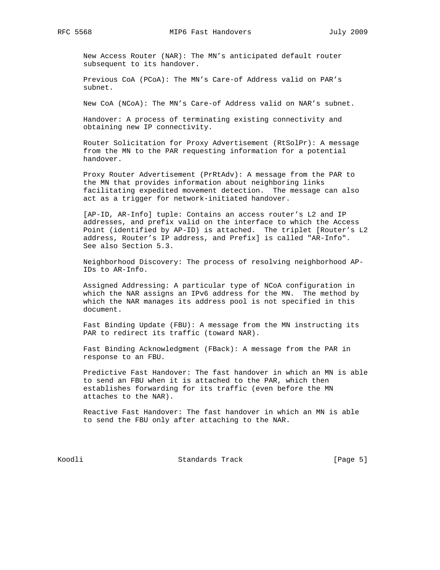New Access Router (NAR): The MN's anticipated default router subsequent to its handover.

 Previous CoA (PCoA): The MN's Care-of Address valid on PAR's subnet.

New CoA (NCoA): The MN's Care-of Address valid on NAR's subnet.

 Handover: A process of terminating existing connectivity and obtaining new IP connectivity.

 Router Solicitation for Proxy Advertisement (RtSolPr): A message from the MN to the PAR requesting information for a potential handover.

 Proxy Router Advertisement (PrRtAdv): A message from the PAR to the MN that provides information about neighboring links facilitating expedited movement detection. The message can also act as a trigger for network-initiated handover.

 [AP-ID, AR-Info] tuple: Contains an access router's L2 and IP addresses, and prefix valid on the interface to which the Access Point (identified by AP-ID) is attached. The triplet [Router's L2 address, Router's IP address, and Prefix] is called "AR-Info". See also Section 5.3.

 Neighborhood Discovery: The process of resolving neighborhood AP- IDs to AR-Info.

 Assigned Addressing: A particular type of NCoA configuration in which the NAR assigns an IPv6 address for the MN. The method by which the NAR manages its address pool is not specified in this document.

 Fast Binding Update (FBU): A message from the MN instructing its PAR to redirect its traffic (toward NAR).

 Fast Binding Acknowledgment (FBack): A message from the PAR in response to an FBU.

 Predictive Fast Handover: The fast handover in which an MN is able to send an FBU when it is attached to the PAR, which then establishes forwarding for its traffic (even before the MN attaches to the NAR).

 Reactive Fast Handover: The fast handover in which an MN is able to send the FBU only after attaching to the NAR.

Koodli Standards Track [Page 5]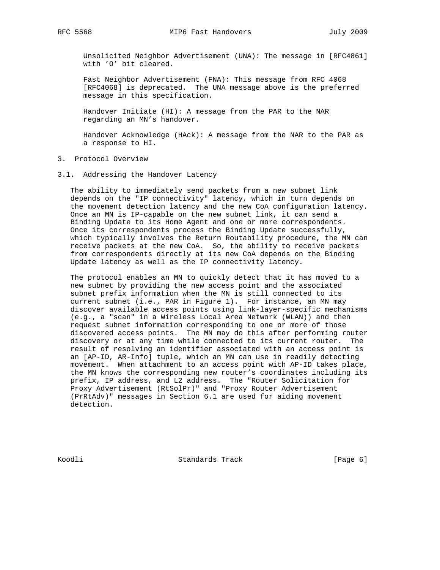Unsolicited Neighbor Advertisement (UNA): The message in [RFC4861] with 'O' bit cleared.

 Fast Neighbor Advertisement (FNA): This message from RFC 4068 [RFC4068] is deprecated. The UNA message above is the preferred message in this specification.

 Handover Initiate (HI): A message from the PAR to the NAR regarding an MN's handover.

 Handover Acknowledge (HAck): A message from the NAR to the PAR as a response to HI.

- 3. Protocol Overview
- 3.1. Addressing the Handover Latency

 The ability to immediately send packets from a new subnet link depends on the "IP connectivity" latency, which in turn depends on the movement detection latency and the new CoA configuration latency. Once an MN is IP-capable on the new subnet link, it can send a Binding Update to its Home Agent and one or more correspondents. Once its correspondents process the Binding Update successfully, which typically involves the Return Routability procedure, the MN can receive packets at the new CoA. So, the ability to receive packets from correspondents directly at its new CoA depends on the Binding Update latency as well as the IP connectivity latency.

 The protocol enables an MN to quickly detect that it has moved to a new subnet by providing the new access point and the associated subnet prefix information when the MN is still connected to its current subnet (i.e., PAR in Figure 1). For instance, an MN may discover available access points using link-layer-specific mechanisms (e.g., a "scan" in a Wireless Local Area Network (WLAN)) and then request subnet information corresponding to one or more of those discovered access points. The MN may do this after performing router discovery or at any time while connected to its current router. The result of resolving an identifier associated with an access point is an [AP-ID, AR-Info] tuple, which an MN can use in readily detecting movement. When attachment to an access point with AP-ID takes place, the MN knows the corresponding new router's coordinates including its prefix, IP address, and L2 address. The "Router Solicitation for Proxy Advertisement (RtSolPr)" and "Proxy Router Advertisement (PrRtAdv)" messages in Section 6.1 are used for aiding movement detection.

Koodli Standards Track [Page 6]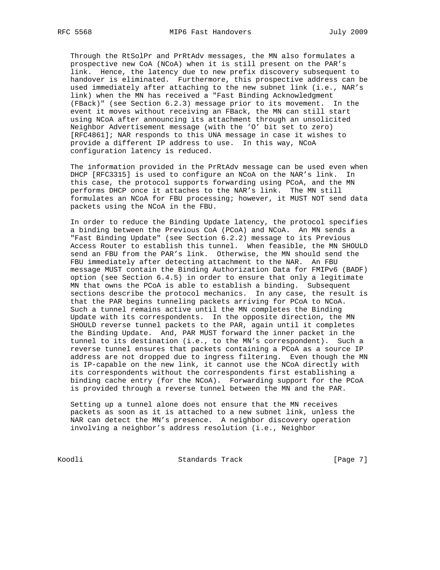Through the RtSolPr and PrRtAdv messages, the MN also formulates a prospective new CoA (NCoA) when it is still present on the PAR's link. Hence, the latency due to new prefix discovery subsequent to handover is eliminated. Furthermore, this prospective address can be used immediately after attaching to the new subnet link (i.e., NAR's link) when the MN has received a "Fast Binding Acknowledgment (FBack)" (see Section 6.2.3) message prior to its movement. In the event it moves without receiving an FBack, the MN can still start using NCoA after announcing its attachment through an unsolicited Neighbor Advertisement message (with the 'O' bit set to zero) [RFC4861]; NAR responds to this UNA message in case it wishes to provide a different IP address to use. In this way, NCoA configuration latency is reduced.

 The information provided in the PrRtAdv message can be used even when DHCP [RFC3315] is used to configure an NCoA on the NAR's link. In this case, the protocol supports forwarding using PCoA, and the MN performs DHCP once it attaches to the NAR's link. The MN still formulates an NCoA for FBU processing; however, it MUST NOT send data packets using the NCoA in the FBU.

 In order to reduce the Binding Update latency, the protocol specifies a binding between the Previous CoA (PCoA) and NCoA. An MN sends a "Fast Binding Update" (see Section 6.2.2) message to its Previous Access Router to establish this tunnel. When feasible, the MN SHOULD send an FBU from the PAR's link. Otherwise, the MN should send the FBU immediately after detecting attachment to the NAR. An FBU message MUST contain the Binding Authorization Data for FMIPv6 (BADF) option (see Section 6.4.5) in order to ensure that only a legitimate MN that owns the PCoA is able to establish a binding. Subsequent sections describe the protocol mechanics. In any case, the result is that the PAR begins tunneling packets arriving for PCoA to NCoA. Such a tunnel remains active until the MN completes the Binding Update with its correspondents. In the opposite direction, the MN SHOULD reverse tunnel packets to the PAR, again until it completes the Binding Update. And, PAR MUST forward the inner packet in the tunnel to its destination (i.e., to the MN's correspondent). Such a reverse tunnel ensures that packets containing a PCoA as a source IP address are not dropped due to ingress filtering. Even though the MN is IP-capable on the new link, it cannot use the NCoA directly with its correspondents without the correspondents first establishing a binding cache entry (for the NCoA). Forwarding support for the PCoA is provided through a reverse tunnel between the MN and the PAR.

 Setting up a tunnel alone does not ensure that the MN receives packets as soon as it is attached to a new subnet link, unless the NAR can detect the MN's presence. A neighbor discovery operation involving a neighbor's address resolution (i.e., Neighbor

Koodli Standards Track [Page 7]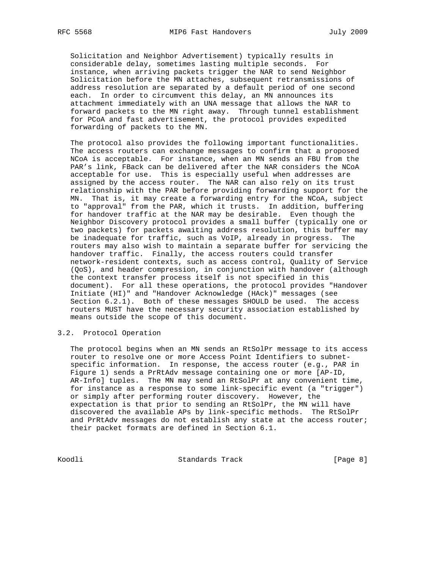Solicitation and Neighbor Advertisement) typically results in considerable delay, sometimes lasting multiple seconds. For instance, when arriving packets trigger the NAR to send Neighbor Solicitation before the MN attaches, subsequent retransmissions of address resolution are separated by a default period of one second each. In order to circumvent this delay, an MN announces its attachment immediately with an UNA message that allows the NAR to forward packets to the MN right away. Through tunnel establishment for PCoA and fast advertisement, the protocol provides expedited forwarding of packets to the MN.

 The protocol also provides the following important functionalities. The access routers can exchange messages to confirm that a proposed NCoA is acceptable. For instance, when an MN sends an FBU from the PAR's link, FBack can be delivered after the NAR considers the NCoA acceptable for use. This is especially useful when addresses are assigned by the access router. The NAR can also rely on its trust relationship with the PAR before providing forwarding support for the MN. That is, it may create a forwarding entry for the NCoA, subject to "approval" from the PAR, which it trusts. In addition, buffering for handover traffic at the NAR may be desirable. Even though the Neighbor Discovery protocol provides a small buffer (typically one or two packets) for packets awaiting address resolution, this buffer may be inadequate for traffic, such as VoIP, already in progress. The routers may also wish to maintain a separate buffer for servicing the handover traffic. Finally, the access routers could transfer network-resident contexts, such as access control, Quality of Service (QoS), and header compression, in conjunction with handover (although the context transfer process itself is not specified in this document). For all these operations, the protocol provides "Handover Initiate (HI)" and "Handover Acknowledge (HAck)" messages (see Section 6.2.1). Both of these messages SHOULD be used. The access routers MUST have the necessary security association established by means outside the scope of this document.

## 3.2. Protocol Operation

 The protocol begins when an MN sends an RtSolPr message to its access router to resolve one or more Access Point Identifiers to subnet specific information. In response, the access router (e.g., PAR in Figure 1) sends a PrRtAdv message containing one or more [AP-ID, AR-Info] tuples. The MN may send an RtSolPr at any convenient time, for instance as a response to some link-specific event (a "trigger") or simply after performing router discovery. However, the expectation is that prior to sending an RtSolPr, the MN will have discovered the available APs by link-specific methods. The RtSolPr and PrRtAdv messages do not establish any state at the access router; their packet formats are defined in Section 6.1.

Koodli Standards Track [Page 8]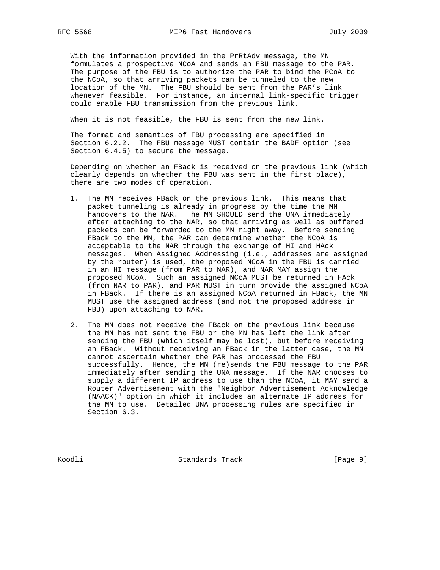With the information provided in the PrRtAdv message, the MN formulates a prospective NCoA and sends an FBU message to the PAR. The purpose of the FBU is to authorize the PAR to bind the PCoA to the NCoA, so that arriving packets can be tunneled to the new location of the MN. The FBU should be sent from the PAR's link whenever feasible. For instance, an internal link-specific trigger could enable FBU transmission from the previous link.

When it is not feasible, the FBU is sent from the new link.

 The format and semantics of FBU processing are specified in Section 6.2.2. The FBU message MUST contain the BADF option (see Section 6.4.5) to secure the message.

 Depending on whether an FBack is received on the previous link (which clearly depends on whether the FBU was sent in the first place), there are two modes of operation.

- 1. The MN receives FBack on the previous link. This means that packet tunneling is already in progress by the time the MN handovers to the NAR. The MN SHOULD send the UNA immediately after attaching to the NAR, so that arriving as well as buffered packets can be forwarded to the MN right away. Before sending FBack to the MN, the PAR can determine whether the NCoA is acceptable to the NAR through the exchange of HI and HAck messages. When Assigned Addressing (i.e., addresses are assigned by the router) is used, the proposed NCoA in the FBU is carried in an HI message (from PAR to NAR), and NAR MAY assign the proposed NCoA. Such an assigned NCoA MUST be returned in HAck (from NAR to PAR), and PAR MUST in turn provide the assigned NCoA in FBack. If there is an assigned NCoA returned in FBack, the MN MUST use the assigned address (and not the proposed address in FBU) upon attaching to NAR.
- 2. The MN does not receive the FBack on the previous link because the MN has not sent the FBU or the MN has left the link after sending the FBU (which itself may be lost), but before receiving an FBack. Without receiving an FBack in the latter case, the MN cannot ascertain whether the PAR has processed the FBU successfully. Hence, the MN (re)sends the FBU message to the PAR immediately after sending the UNA message. If the NAR chooses to supply a different IP address to use than the NCoA, it MAY send a Router Advertisement with the "Neighbor Advertisement Acknowledge (NAACK)" option in which it includes an alternate IP address for the MN to use. Detailed UNA processing rules are specified in Section 6.3.

Koodli Standards Track [Page 9]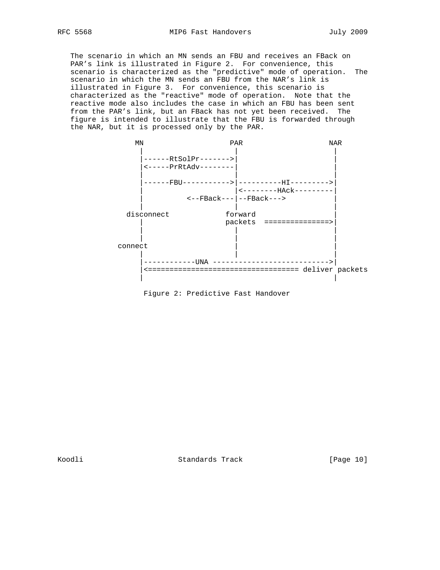The scenario in which an MN sends an FBU and receives an FBack on PAR's link is illustrated in Figure 2. For convenience, this scenario is characterized as the "predictive" mode of operation. The scenario in which the MN sends an FBU from the NAR's link is illustrated in Figure 3. For convenience, this scenario is characterized as the "reactive" mode of operation. Note that the reactive mode also includes the case in which an FBU has been sent from the PAR's link, but an FBack has not yet been received. The figure is intended to illustrate that the FBU is forwarded through the NAR, but it is processed only by the PAR.



Figure 2: Predictive Fast Handover

Koodli Standards Track [Page 10]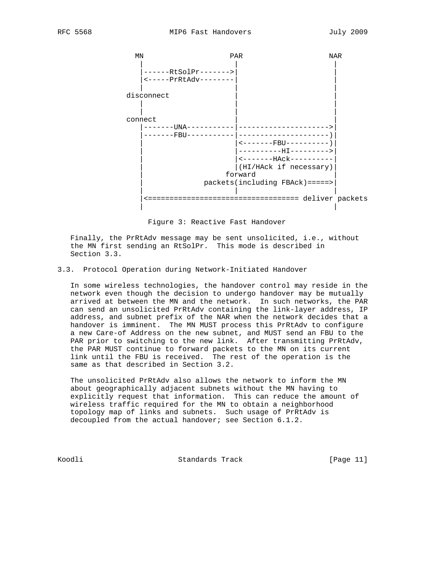

Figure 3: Reactive Fast Handover

 Finally, the PrRtAdv message may be sent unsolicited, i.e., without the MN first sending an RtSolPr. This mode is described in Section 3.3.

# 3.3. Protocol Operation during Network-Initiated Handover

 In some wireless technologies, the handover control may reside in the network even though the decision to undergo handover may be mutually arrived at between the MN and the network. In such networks, the PAR can send an unsolicited PrRtAdv containing the link-layer address, IP address, and subnet prefix of the NAR when the network decides that a handover is imminent. The MN MUST process this PrRtAdv to configure a new Care-of Address on the new subnet, and MUST send an FBU to the PAR prior to switching to the new link. After transmitting PrRtAdv, the PAR MUST continue to forward packets to the MN on its current link until the FBU is received. The rest of the operation is the same as that described in Section 3.2.

 The unsolicited PrRtAdv also allows the network to inform the MN about geographically adjacent subnets without the MN having to explicitly request that information. This can reduce the amount of wireless traffic required for the MN to obtain a neighborhood topology map of links and subnets. Such usage of PrRtAdv is decoupled from the actual handover; see Section 6.1.2.

Koodli Standards Track [Page 11]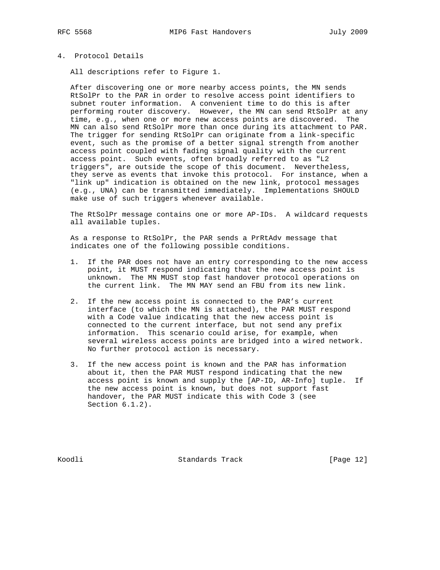# 4. Protocol Details

All descriptions refer to Figure 1.

 After discovering one or more nearby access points, the MN sends RtSolPr to the PAR in order to resolve access point identifiers to subnet router information. A convenient time to do this is after performing router discovery. However, the MN can send RtSolPr at any time, e.g., when one or more new access points are discovered. The MN can also send RtSolPr more than once during its attachment to PAR. The trigger for sending RtSolPr can originate from a link-specific event, such as the promise of a better signal strength from another access point coupled with fading signal quality with the current access point. Such events, often broadly referred to as "L2 triggers", are outside the scope of this document. Nevertheless, they serve as events that invoke this protocol. For instance, when a "link up" indication is obtained on the new link, protocol messages (e.g., UNA) can be transmitted immediately. Implementations SHOULD make use of such triggers whenever available.

 The RtSolPr message contains one or more AP-IDs. A wildcard requests all available tuples.

 As a response to RtSolPr, the PAR sends a PrRtAdv message that indicates one of the following possible conditions.

- 1. If the PAR does not have an entry corresponding to the new access point, it MUST respond indicating that the new access point is unknown. The MN MUST stop fast handover protocol operations on the current link. The MN MAY send an FBU from its new link.
- 2. If the new access point is connected to the PAR's current interface (to which the MN is attached), the PAR MUST respond with a Code value indicating that the new access point is connected to the current interface, but not send any prefix information. This scenario could arise, for example, when several wireless access points are bridged into a wired network. No further protocol action is necessary.
- 3. If the new access point is known and the PAR has information about it, then the PAR MUST respond indicating that the new access point is known and supply the [AP-ID, AR-Info] tuple. If the new access point is known, but does not support fast handover, the PAR MUST indicate this with Code 3 (see Section 6.1.2).

Koodli Standards Track [Page 12]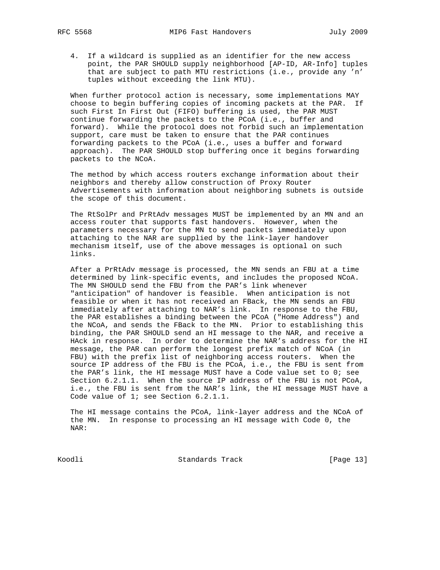4. If a wildcard is supplied as an identifier for the new access point, the PAR SHOULD supply neighborhood [AP-ID, AR-Info] tuples that are subject to path MTU restrictions (i.e., provide any 'n' tuples without exceeding the link MTU).

 When further protocol action is necessary, some implementations MAY choose to begin buffering copies of incoming packets at the PAR. If such First In First Out (FIFO) buffering is used, the PAR MUST continue forwarding the packets to the PCoA (i.e., buffer and forward). While the protocol does not forbid such an implementation support, care must be taken to ensure that the PAR continues forwarding packets to the PCoA (i.e., uses a buffer and forward approach). The PAR SHOULD stop buffering once it begins forwarding packets to the NCoA.

 The method by which access routers exchange information about their neighbors and thereby allow construction of Proxy Router Advertisements with information about neighboring subnets is outside the scope of this document.

 The RtSolPr and PrRtAdv messages MUST be implemented by an MN and an access router that supports fast handovers. However, when the parameters necessary for the MN to send packets immediately upon attaching to the NAR are supplied by the link-layer handover mechanism itself, use of the above messages is optional on such links.

 After a PrRtAdv message is processed, the MN sends an FBU at a time determined by link-specific events, and includes the proposed NCoA. The MN SHOULD send the FBU from the PAR's link whenever "anticipation" of handover is feasible. When anticipation is not feasible or when it has not received an FBack, the MN sends an FBU immediately after attaching to NAR's link. In response to the FBU, the PAR establishes a binding between the PCoA ("Home Address") and the NCoA, and sends the FBack to the MN. Prior to establishing this binding, the PAR SHOULD send an HI message to the NAR, and receive a HAck in response. In order to determine the NAR's address for the HI message, the PAR can perform the longest prefix match of NCoA (in FBU) with the prefix list of neighboring access routers. When the source IP address of the FBU is the PCoA, i.e., the FBU is sent from the PAR's link, the HI message MUST have a Code value set to 0; see Section 6.2.1.1. When the source IP address of the FBU is not PCoA, i.e., the FBU is sent from the NAR's link, the HI message MUST have a Code value of 1; see Section 6.2.1.1.

 The HI message contains the PCoA, link-layer address and the NCoA of the MN. In response to processing an HI message with Code 0, the NAR:

Koodli Standards Track [Page 13]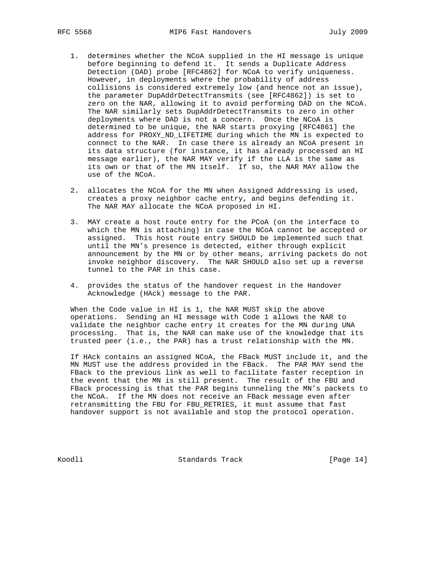- 1. determines whether the NCoA supplied in the HI message is unique before beginning to defend it. It sends a Duplicate Address Detection (DAD) probe [RFC4862] for NCoA to verify uniqueness. However, in deployments where the probability of address collisions is considered extremely low (and hence not an issue), the parameter DupAddrDetectTransmits (see [RFC4862]) is set to zero on the NAR, allowing it to avoid performing DAD on the NCoA. The NAR similarly sets DupAddrDetectTransmits to zero in other deployments where DAD is not a concern. Once the NCoA is determined to be unique, the NAR starts proxying [RFC4861] the address for PROXY\_ND\_LIFETIME during which the MN is expected to connect to the NAR. In case there is already an NCoA present in its data structure (for instance, it has already processed an HI message earlier), the NAR MAY verify if the LLA is the same as its own or that of the MN itself. If so, the NAR MAY allow the use of the NCoA.
	- 2. allocates the NCoA for the MN when Assigned Addressing is used, creates a proxy neighbor cache entry, and begins defending it. The NAR MAY allocate the NCoA proposed in HI.
	- 3. MAY create a host route entry for the PCoA (on the interface to which the MN is attaching) in case the NCoA cannot be accepted or assigned. This host route entry SHOULD be implemented such that until the MN's presence is detected, either through explicit announcement by the MN or by other means, arriving packets do not invoke neighbor discovery. The NAR SHOULD also set up a reverse tunnel to the PAR in this case.
	- 4. provides the status of the handover request in the Handover Acknowledge (HAck) message to the PAR.

 When the Code value in HI is 1, the NAR MUST skip the above operations. Sending an HI message with Code 1 allows the NAR to validate the neighbor cache entry it creates for the MN during UNA processing. That is, the NAR can make use of the knowledge that its trusted peer (i.e., the PAR) has a trust relationship with the MN.

 If HAck contains an assigned NCoA, the FBack MUST include it, and the MN MUST use the address provided in the FBack. The PAR MAY send the FBack to the previous link as well to facilitate faster reception in the event that the MN is still present. The result of the FBU and FBack processing is that the PAR begins tunneling the MN's packets to the NCoA. If the MN does not receive an FBack message even after retransmitting the FBU for FBU\_RETRIES, it must assume that fast handover support is not available and stop the protocol operation.

Koodli Standards Track [Page 14]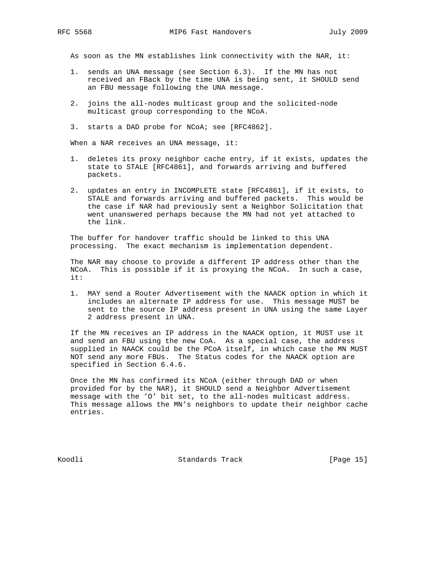As soon as the MN establishes link connectivity with the NAR, it:

- 1. sends an UNA message (see Section 6.3). If the MN has not received an FBack by the time UNA is being sent, it SHOULD send an FBU message following the UNA message.
- 2. joins the all-nodes multicast group and the solicited-node multicast group corresponding to the NCoA.
- 3. starts a DAD probe for NCoA; see [RFC4862].

When a NAR receives an UNA message, it:

- 1. deletes its proxy neighbor cache entry, if it exists, updates the state to STALE [RFC4861], and forwards arriving and buffered packets.
- 2. updates an entry in INCOMPLETE state [RFC4861], if it exists, to STALE and forwards arriving and buffered packets. This would be the case if NAR had previously sent a Neighbor Solicitation that went unanswered perhaps because the MN had not yet attached to the link.

 The buffer for handover traffic should be linked to this UNA processing. The exact mechanism is implementation dependent.

 The NAR may choose to provide a different IP address other than the NCoA. This is possible if it is proxying the NCoA. In such a case, it:

 1. MAY send a Router Advertisement with the NAACK option in which it includes an alternate IP address for use. This message MUST be sent to the source IP address present in UNA using the same Layer 2 address present in UNA.

 If the MN receives an IP address in the NAACK option, it MUST use it and send an FBU using the new CoA. As a special case, the address supplied in NAACK could be the PCoA itself, in which case the MN MUST NOT send any more FBUs. The Status codes for the NAACK option are specified in Section 6.4.6.

 Once the MN has confirmed its NCoA (either through DAD or when provided for by the NAR), it SHOULD send a Neighbor Advertisement message with the 'O' bit set, to the all-nodes multicast address. This message allows the MN's neighbors to update their neighbor cache entries.

Koodli Standards Track [Page 15]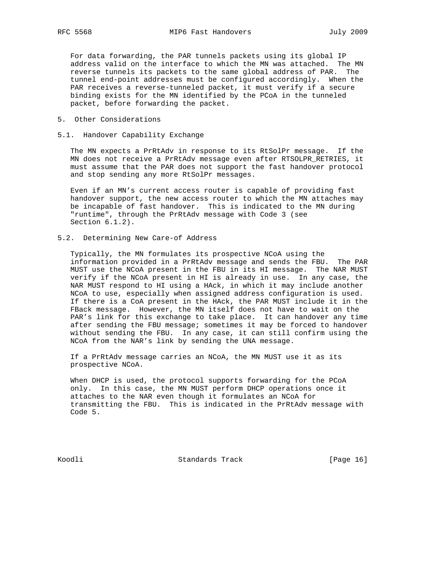For data forwarding, the PAR tunnels packets using its global IP address valid on the interface to which the MN was attached. The MN reverse tunnels its packets to the same global address of PAR. The tunnel end-point addresses must be configured accordingly. When the PAR receives a reverse-tunneled packet, it must verify if a secure binding exists for the MN identified by the PCoA in the tunneled packet, before forwarding the packet.

5. Other Considerations

## 5.1. Handover Capability Exchange

 The MN expects a PrRtAdv in response to its RtSolPr message. If the MN does not receive a PrRtAdv message even after RTSOLPR\_RETRIES, it must assume that the PAR does not support the fast handover protocol and stop sending any more RtSolPr messages.

 Even if an MN's current access router is capable of providing fast handover support, the new access router to which the MN attaches may be incapable of fast handover. This is indicated to the MN during "runtime", through the PrRtAdv message with Code 3 (see Section 6.1.2).

## 5.2. Determining New Care-of Address

 Typically, the MN formulates its prospective NCoA using the information provided in a PrRtAdv message and sends the FBU. The PAR MUST use the NCoA present in the FBU in its HI message. The NAR MUST verify if the NCoA present in HI is already in use. In any case, the NAR MUST respond to HI using a HAck, in which it may include another NCoA to use, especially when assigned address configuration is used. If there is a CoA present in the HAck, the PAR MUST include it in the FBack message. However, the MN itself does not have to wait on the PAR's link for this exchange to take place. It can handover any time after sending the FBU message; sometimes it may be forced to handover without sending the FBU. In any case, it can still confirm using the NCoA from the NAR's link by sending the UNA message.

 If a PrRtAdv message carries an NCoA, the MN MUST use it as its prospective NCoA.

 When DHCP is used, the protocol supports forwarding for the PCoA only. In this case, the MN MUST perform DHCP operations once it attaches to the NAR even though it formulates an NCoA for transmitting the FBU. This is indicated in the PrRtAdv message with Code 5.

Koodli Standards Track [Page 16]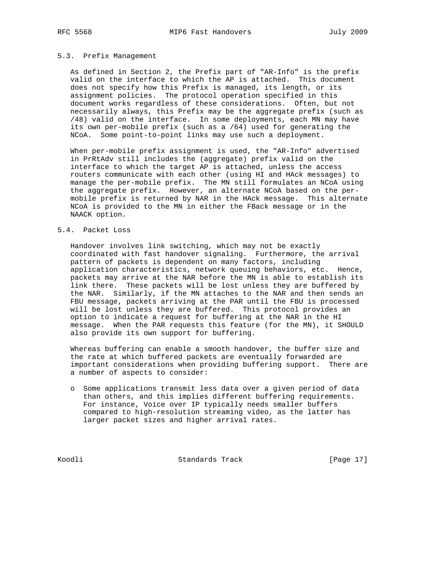## 5.3. Prefix Management

 As defined in Section 2, the Prefix part of "AR-Info" is the prefix valid on the interface to which the AP is attached. This document does not specify how this Prefix is managed, its length, or its assignment policies. The protocol operation specified in this document works regardless of these considerations. Often, but not necessarily always, this Prefix may be the aggregate prefix (such as /48) valid on the interface. In some deployments, each MN may have its own per-mobile prefix (such as a /64) used for generating the NCoA. Some point-to-point links may use such a deployment.

 When per-mobile prefix assignment is used, the "AR-Info" advertised in PrRtAdv still includes the (aggregate) prefix valid on the interface to which the target AP is attached, unless the access routers communicate with each other (using HI and HAck messages) to manage the per-mobile prefix. The MN still formulates an NCoA using the aggregate prefix. However, an alternate NCoA based on the per mobile prefix is returned by NAR in the HAck message. This alternate NCoA is provided to the MN in either the FBack message or in the NAACK option.

### 5.4. Packet Loss

 Handover involves link switching, which may not be exactly coordinated with fast handover signaling. Furthermore, the arrival pattern of packets is dependent on many factors, including application characteristics, network queuing behaviors, etc. Hence, packets may arrive at the NAR before the MN is able to establish its link there. These packets will be lost unless they are buffered by the NAR. Similarly, if the MN attaches to the NAR and then sends an FBU message, packets arriving at the PAR until the FBU is processed will be lost unless they are buffered. This protocol provides an option to indicate a request for buffering at the NAR in the HI message. When the PAR requests this feature (for the MN), it SHOULD also provide its own support for buffering.

 Whereas buffering can enable a smooth handover, the buffer size and the rate at which buffered packets are eventually forwarded are important considerations when providing buffering support. There are a number of aspects to consider:

 o Some applications transmit less data over a given period of data than others, and this implies different buffering requirements. For instance, Voice over IP typically needs smaller buffers compared to high-resolution streaming video, as the latter has larger packet sizes and higher arrival rates.

Koodli Standards Track [Page 17]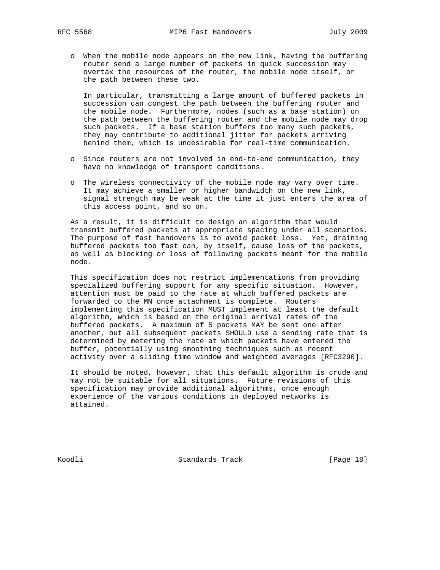o When the mobile node appears on the new link, having the buffering router send a large number of packets in quick succession may overtax the resources of the router, the mobile node itself, or the path between these two.

 In particular, transmitting a large amount of buffered packets in succession can congest the path between the buffering router and the mobile node. Furthermore, nodes (such as a base station) on the path between the buffering router and the mobile node may drop such packets. If a base station buffers too many such packets, they may contribute to additional jitter for packets arriving behind them, which is undesirable for real-time communication.

- o Since routers are not involved in end-to-end communication, they have no knowledge of transport conditions.
- o The wireless connectivity of the mobile node may vary over time. It may achieve a smaller or higher bandwidth on the new link, signal strength may be weak at the time it just enters the area of this access point, and so on.

 As a result, it is difficult to design an algorithm that would transmit buffered packets at appropriate spacing under all scenarios. The purpose of fast handovers is to avoid packet loss. Yet, draining buffered packets too fast can, by itself, cause loss of the packets, as well as blocking or loss of following packets meant for the mobile node.

 This specification does not restrict implementations from providing specialized buffering support for any specific situation. However, attention must be paid to the rate at which buffered packets are forwarded to the MN once attachment is complete. Routers implementing this specification MUST implement at least the default algorithm, which is based on the original arrival rates of the buffered packets. A maximum of 5 packets MAY be sent one after another, but all subsequent packets SHOULD use a sending rate that is determined by metering the rate at which packets have entered the buffer, potentially using smoothing techniques such as recent activity over a sliding time window and weighted averages [RFC3290].

 It should be noted, however, that this default algorithm is crude and may not be suitable for all situations. Future revisions of this specification may provide additional algorithms, once enough experience of the various conditions in deployed networks is attained.

Koodli Standards Track [Page 18]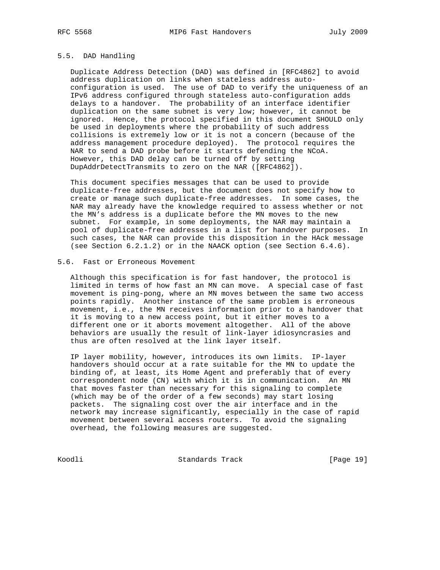## 5.5. DAD Handling

 Duplicate Address Detection (DAD) was defined in [RFC4862] to avoid address duplication on links when stateless address auto configuration is used. The use of DAD to verify the uniqueness of an IPv6 address configured through stateless auto-configuration adds delays to a handover. The probability of an interface identifier duplication on the same subnet is very low; however, it cannot be ignored. Hence, the protocol specified in this document SHOULD only be used in deployments where the probability of such address collisions is extremely low or it is not a concern (because of the address management procedure deployed). The protocol requires the NAR to send a DAD probe before it starts defending the NCoA. However, this DAD delay can be turned off by setting DupAddrDetectTransmits to zero on the NAR ([RFC4862]).

 This document specifies messages that can be used to provide duplicate-free addresses, but the document does not specify how to create or manage such duplicate-free addresses. In some cases, the NAR may already have the knowledge required to assess whether or not the MN's address is a duplicate before the MN moves to the new subnet. For example, in some deployments, the NAR may maintain a pool of duplicate-free addresses in a list for handover purposes. In such cases, the NAR can provide this disposition in the HAck message (see Section 6.2.1.2) or in the NAACK option (see Section 6.4.6).

# 5.6. Fast or Erroneous Movement

 Although this specification is for fast handover, the protocol is limited in terms of how fast an MN can move. A special case of fast movement is ping-pong, where an MN moves between the same two access points rapidly. Another instance of the same problem is erroneous movement, i.e., the MN receives information prior to a handover that it is moving to a new access point, but it either moves to a different one or it aborts movement altogether. All of the above behaviors are usually the result of link-layer idiosyncrasies and thus are often resolved at the link layer itself.

 IP layer mobility, however, introduces its own limits. IP-layer handovers should occur at a rate suitable for the MN to update the binding of, at least, its Home Agent and preferably that of every correspondent node (CN) with which it is in communication. An MN that moves faster than necessary for this signaling to complete (which may be of the order of a few seconds) may start losing packets. The signaling cost over the air interface and in the network may increase significantly, especially in the case of rapid movement between several access routers. To avoid the signaling overhead, the following measures are suggested.

Koodli Standards Track [Page 19]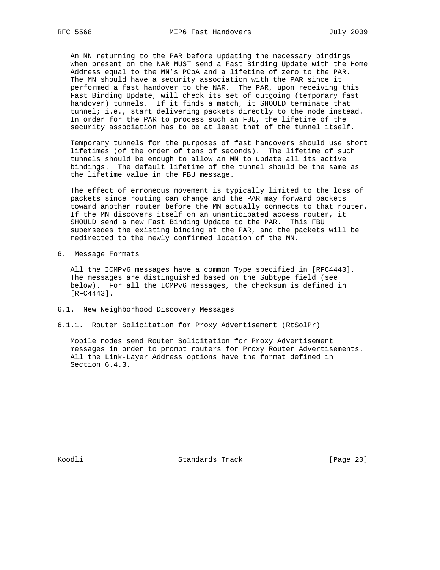An MN returning to the PAR before updating the necessary bindings when present on the NAR MUST send a Fast Binding Update with the Home Address equal to the MN's PCoA and a lifetime of zero to the PAR. The MN should have a security association with the PAR since it performed a fast handover to the NAR. The PAR, upon receiving this Fast Binding Update, will check its set of outgoing (temporary fast handover) tunnels. If it finds a match, it SHOULD terminate that tunnel; i.e., start delivering packets directly to the node instead. In order for the PAR to process such an FBU, the lifetime of the security association has to be at least that of the tunnel itself.

 Temporary tunnels for the purposes of fast handovers should use short lifetimes (of the order of tens of seconds). The lifetime of such tunnels should be enough to allow an MN to update all its active bindings. The default lifetime of the tunnel should be the same as the lifetime value in the FBU message.

 The effect of erroneous movement is typically limited to the loss of packets since routing can change and the PAR may forward packets toward another router before the MN actually connects to that router. If the MN discovers itself on an unanticipated access router, it SHOULD send a new Fast Binding Update to the PAR. This FBU supersedes the existing binding at the PAR, and the packets will be redirected to the newly confirmed location of the MN.

6. Message Formats

 All the ICMPv6 messages have a common Type specified in [RFC4443]. The messages are distinguished based on the Subtype field (see below). For all the ICMPv6 messages, the checksum is defined in [RFC4443].

- 6.1. New Neighborhood Discovery Messages
- 6.1.1. Router Solicitation for Proxy Advertisement (RtSolPr)

 Mobile nodes send Router Solicitation for Proxy Advertisement messages in order to prompt routers for Proxy Router Advertisements. All the Link-Layer Address options have the format defined in Section 6.4.3.

Koodli Standards Track [Page 20]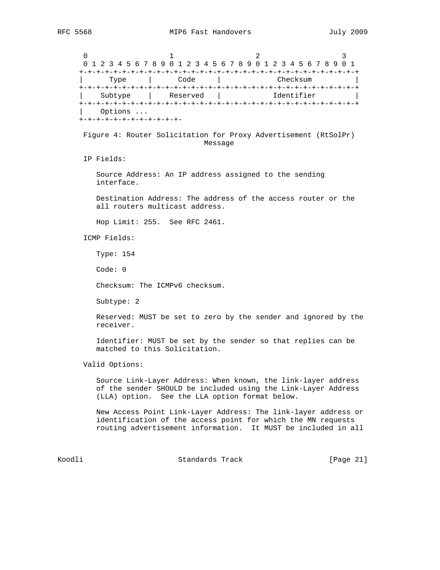$0$  and  $1$  and  $2$  3 0 1 2 3 4 5 6 7 8 9 0 1 2 3 4 5 6 7 8 9 0 1 2 3 4 5 6 7 8 9 0 1 +-+-+-+-+-+-+-+-+-+-+-+-+-+-+-+-+-+-+-+-+-+-+-+-+-+-+-+-+-+-+-+-+ | Type | Code | Checksum | +-+-+-+-+-+-+-+-+-+-+-+-+-+-+-+-+-+-+-+-+-+-+-+-+-+-+-+-+-+-+-+-+ | Subtype | Reserved | Identifier | +-+-+-+-+-+-+-+-+-+-+-+-+-+-+-+-+-+-+-+-+-+-+-+-+-+-+-+-+-+-+-+-+ | Options ... +-+-+-+-+-+-+-+-+-+-+-+- Figure 4: Router Solicitation for Proxy Advertisement (RtSolPr) Message IP Fields: Source Address: An IP address assigned to the sending interface. Destination Address: The address of the access router or the all routers multicast address. Hop Limit: 255. See RFC 2461. ICMP Fields: Type: 154 Code: 0 Checksum: The ICMPv6 checksum. Subtype: 2 Reserved: MUST be set to zero by the sender and ignored by the receiver. Identifier: MUST be set by the sender so that replies can be matched to this Solicitation. Valid Options: Source Link-Layer Address: When known, the link-layer address of the sender SHOULD be included using the Link-Layer Address (LLA) option. See the LLA option format below. New Access Point Link-Layer Address: The link-layer address or

 identification of the access point for which the MN requests routing advertisement information. It MUST be included in all

Koodli Standards Track [Page 21]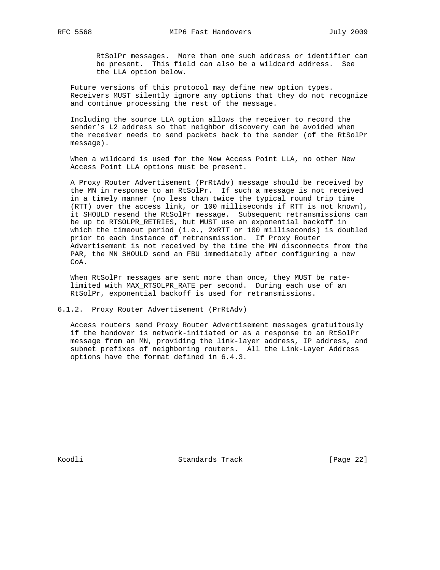RtSolPr messages. More than one such address or identifier can be present. This field can also be a wildcard address. See the LLA option below.

 Future versions of this protocol may define new option types. Receivers MUST silently ignore any options that they do not recognize and continue processing the rest of the message.

 Including the source LLA option allows the receiver to record the sender's L2 address so that neighbor discovery can be avoided when the receiver needs to send packets back to the sender (of the RtSolPr message).

 When a wildcard is used for the New Access Point LLA, no other New Access Point LLA options must be present.

 A Proxy Router Advertisement (PrRtAdv) message should be received by the MN in response to an RtSolPr. If such a message is not received in a timely manner (no less than twice the typical round trip time (RTT) over the access link, or 100 milliseconds if RTT is not known), it SHOULD resend the RtSolPr message. Subsequent retransmissions can be up to RTSOLPR\_RETRIES, but MUST use an exponential backoff in which the timeout period (i.e., 2xRTT or 100 milliseconds) is doubled prior to each instance of retransmission. If Proxy Router Advertisement is not received by the time the MN disconnects from the PAR, the MN SHOULD send an FBU immediately after configuring a new CoA.

 When RtSolPr messages are sent more than once, they MUST be rate limited with MAX\_RTSOLPR\_RATE per second. During each use of an RtSolPr, exponential backoff is used for retransmissions.

6.1.2. Proxy Router Advertisement (PrRtAdv)

 Access routers send Proxy Router Advertisement messages gratuitously if the handover is network-initiated or as a response to an RtSolPr message from an MN, providing the link-layer address, IP address, and subnet prefixes of neighboring routers. All the Link-Layer Address options have the format defined in 6.4.3.

Koodli Standards Track [Page 22]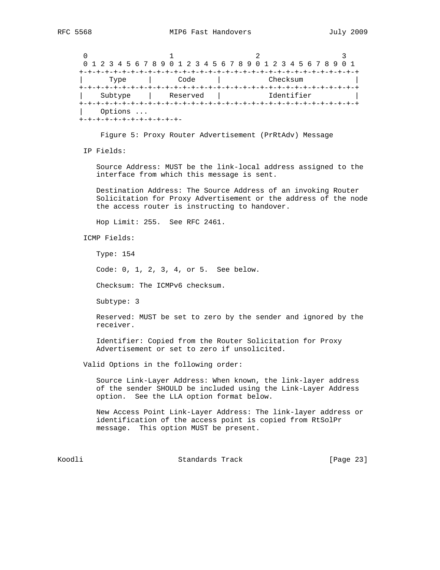$0$  and  $1$  and  $2$  3 0 1 2 3 4 5 6 7 8 9 0 1 2 3 4 5 6 7 8 9 0 1 2 3 4 5 6 7 8 9 0 1 +-+-+-+-+-+-+-+-+-+-+-+-+-+-+-+-+-+-+-+-+-+-+-+-+-+-+-+-+-+-+-+-+ | Type | Code | Checksum | +-+-+-+-+-+-+-+-+-+-+-+-+-+-+-+-+-+-+-+-+-+-+-+-+-+-+-+-+-+-+-+-+ | Subtype | Reserved | Identifier | +-+-+-+-+-+-+-+-+-+-+-+-+-+-+-+-+-+-+-+-+-+-+-+-+-+-+-+-+-+-+-+-+ | Options ... +-+-+-+-+-+-+-+-+-+-+-+-

Figure 5: Proxy Router Advertisement (PrRtAdv) Message

IP Fields:

 Source Address: MUST be the link-local address assigned to the interface from which this message is sent.

 Destination Address: The Source Address of an invoking Router Solicitation for Proxy Advertisement or the address of the node the access router is instructing to handover.

Hop Limit: 255. See RFC 2461.

ICMP Fields:

Type: 154

Code: 0, 1, 2, 3, 4, or 5. See below.

Checksum: The ICMPv6 checksum.

Subtype: 3

 Reserved: MUST be set to zero by the sender and ignored by the receiver.

 Identifier: Copied from the Router Solicitation for Proxy Advertisement or set to zero if unsolicited.

Valid Options in the following order:

 Source Link-Layer Address: When known, the link-layer address of the sender SHOULD be included using the Link-Layer Address option. See the LLA option format below.

 New Access Point Link-Layer Address: The link-layer address or identification of the access point is copied from RtSolPr message. This option MUST be present.

Koodli Standards Track [Page 23]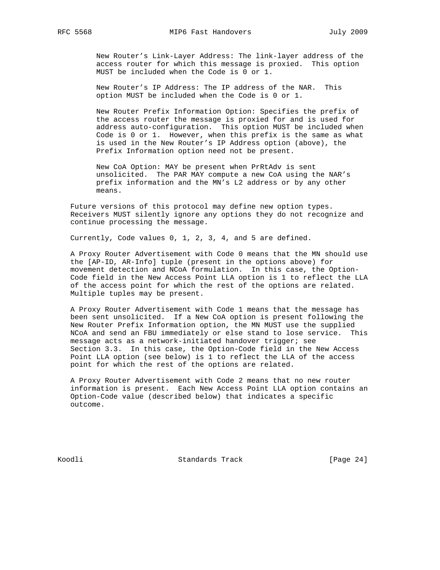New Router's Link-Layer Address: The link-layer address of the access router for which this message is proxied. This option MUST be included when the Code is 0 or 1.

 New Router's IP Address: The IP address of the NAR. This option MUST be included when the Code is 0 or 1.

 New Router Prefix Information Option: Specifies the prefix of the access router the message is proxied for and is used for address auto-configuration. This option MUST be included when Code is 0 or 1. However, when this prefix is the same as what is used in the New Router's IP Address option (above), the Prefix Information option need not be present.

 New CoA Option: MAY be present when PrRtAdv is sent unsolicited. The PAR MAY compute a new CoA using the NAR's prefix information and the MN's L2 address or by any other means.

 Future versions of this protocol may define new option types. Receivers MUST silently ignore any options they do not recognize and continue processing the message.

Currently, Code values 0, 1, 2, 3, 4, and 5 are defined.

 A Proxy Router Advertisement with Code 0 means that the MN should use the [AP-ID, AR-Info] tuple (present in the options above) for movement detection and NCoA formulation. In this case, the Option- Code field in the New Access Point LLA option is 1 to reflect the LLA of the access point for which the rest of the options are related. Multiple tuples may be present.

 A Proxy Router Advertisement with Code 1 means that the message has been sent unsolicited. If a New CoA option is present following the New Router Prefix Information option, the MN MUST use the supplied NCoA and send an FBU immediately or else stand to lose service. This message acts as a network-initiated handover trigger; see Section 3.3. In this case, the Option-Code field in the New Access Point LLA option (see below) is 1 to reflect the LLA of the access point for which the rest of the options are related.

 A Proxy Router Advertisement with Code 2 means that no new router information is present. Each New Access Point LLA option contains an Option-Code value (described below) that indicates a specific outcome.

Koodli Standards Track [Page 24]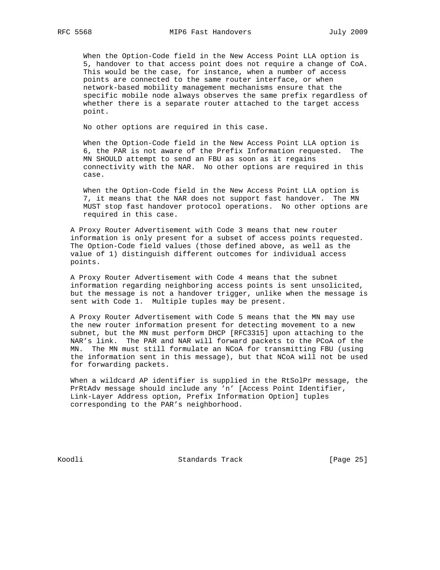When the Option-Code field in the New Access Point LLA option is 5, handover to that access point does not require a change of CoA. This would be the case, for instance, when a number of access points are connected to the same router interface, or when network-based mobility management mechanisms ensure that the specific mobile node always observes the same prefix regardless of whether there is a separate router attached to the target access point.

No other options are required in this case.

 When the Option-Code field in the New Access Point LLA option is 6, the PAR is not aware of the Prefix Information requested. The MN SHOULD attempt to send an FBU as soon as it regains connectivity with the NAR. No other options are required in this case.

 When the Option-Code field in the New Access Point LLA option is 7, it means that the NAR does not support fast handover. The MN MUST stop fast handover protocol operations. No other options are required in this case.

 A Proxy Router Advertisement with Code 3 means that new router information is only present for a subset of access points requested. The Option-Code field values (those defined above, as well as the value of 1) distinguish different outcomes for individual access points.

 A Proxy Router Advertisement with Code 4 means that the subnet information regarding neighboring access points is sent unsolicited, but the message is not a handover trigger, unlike when the message is sent with Code 1. Multiple tuples may be present.

 A Proxy Router Advertisement with Code 5 means that the MN may use the new router information present for detecting movement to a new subnet, but the MN must perform DHCP [RFC3315] upon attaching to the NAR's link. The PAR and NAR will forward packets to the PCoA of the MN. The MN must still formulate an NCoA for transmitting FBU (using the information sent in this message), but that NCoA will not be used for forwarding packets.

 When a wildcard AP identifier is supplied in the RtSolPr message, the PrRtAdv message should include any 'n' [Access Point Identifier, Link-Layer Address option, Prefix Information Option] tuples corresponding to the PAR's neighborhood.

Koodli Standards Track [Page 25]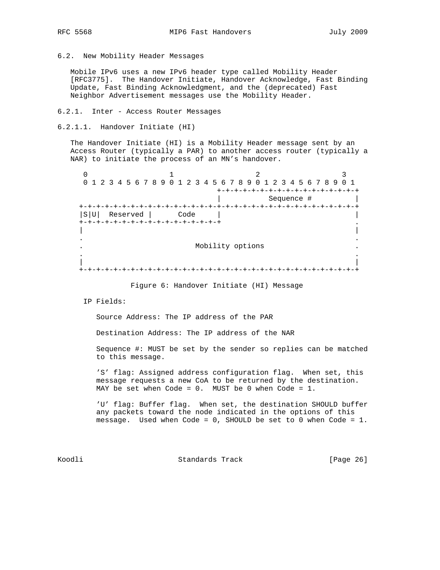6.2. New Mobility Header Messages

 Mobile IPv6 uses a new IPv6 header type called Mobility Header [RFC3775]. The Handover Initiate, Handover Acknowledge, Fast Binding Update, Fast Binding Acknowledgment, and the (deprecated) Fast Neighbor Advertisement messages use the Mobility Header.

- 6.2.1. Inter Access Router Messages
- 6.2.1.1. Handover Initiate (HI)

 The Handover Initiate (HI) is a Mobility Header message sent by an Access Router (typically a PAR) to another access router (typically a NAR) to initiate the process of an MN's handover.

 $0$  and  $1$  and  $2$  3 0 1 2 3 4 5 6 7 8 9 0 1 2 3 4 5 6 7 8 9 0 1 2 3 4 5 6 7 8 9 0 1 +-+-+-+-+-+-+-+-+-+-+-+-+-+-+-+-+ | Sequence # | +-+-+-+-+-+-+-+-+-+-+-+-+-+-+-+-+-+-+-+-+-+-+-+-+-+-+-+-+-+-+-+-+ |S|U| Reserved | Code | | +-+-+-+-+-+-+-+-+-+-+-+-+-+-+-+-+ . | | . . . Mobility options . . . | | +-+-+-+-+-+-+-+-+-+-+-+-+-+-+-+-+-+-+-+-+-+-+-+-+-+-+-+-+-+-+-+-+

Figure 6: Handover Initiate (HI) Message

IP Fields:

Source Address: The IP address of the PAR

Destination Address: The IP address of the NAR

 Sequence #: MUST be set by the sender so replies can be matched to this message.

 'S' flag: Assigned address configuration flag. When set, this message requests a new CoA to be returned by the destination. MAY be set when Code = 0. MUST be 0 when Code = 1.

 'U' flag: Buffer flag. When set, the destination SHOULD buffer any packets toward the node indicated in the options of this message. Used when Code = 0, SHOULD be set to 0 when Code = 1.

Koodli Standards Track [Page 26]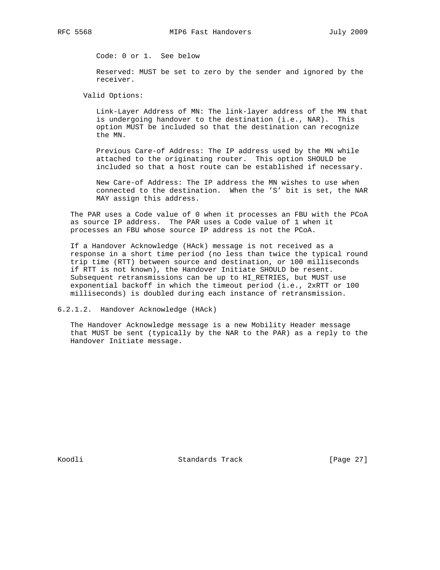Code: 0 or 1. See below

 Reserved: MUST be set to zero by the sender and ignored by the receiver.

Valid Options:

 Link-Layer Address of MN: The link-layer address of the MN that is undergoing handover to the destination (i.e., NAR). This option MUST be included so that the destination can recognize the MN.

 Previous Care-of Address: The IP address used by the MN while attached to the originating router. This option SHOULD be included so that a host route can be established if necessary.

 New Care-of Address: The IP address the MN wishes to use when connected to the destination. When the 'S' bit is set, the NAR MAY assign this address.

 The PAR uses a Code value of 0 when it processes an FBU with the PCoA as source IP address. The PAR uses a Code value of 1 when it processes an FBU whose source IP address is not the PCoA.

 If a Handover Acknowledge (HAck) message is not received as a response in a short time period (no less than twice the typical round trip time (RTT) between source and destination, or 100 milliseconds if RTT is not known), the Handover Initiate SHOULD be resent. Subsequent retransmissions can be up to HI\_RETRIES, but MUST use exponential backoff in which the timeout period (i.e., 2xRTT or 100 milliseconds) is doubled during each instance of retransmission.

6.2.1.2. Handover Acknowledge (HAck)

 The Handover Acknowledge message is a new Mobility Header message that MUST be sent (typically by the NAR to the PAR) as a reply to the Handover Initiate message.

Koodli Standards Track [Page 27]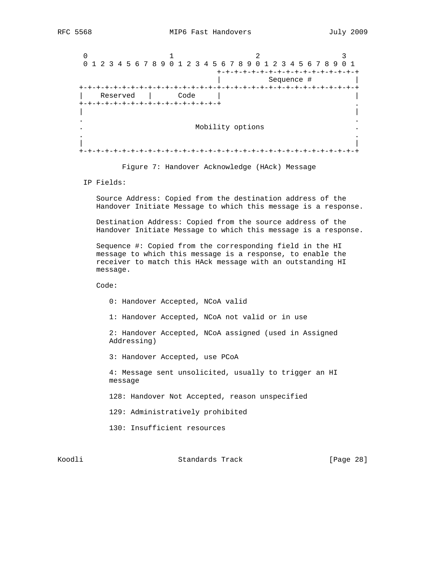$0$  and  $1$  and  $2$  3 0 1 2 3 4 5 6 7 8 9 0 1 2 3 4 5 6 7 8 9 0 1 2 3 4 5 6 7 8 9 0 1 +-+-+-+-+-+-+-+-+-+-+-+-+-+-+-+-+ | Sequence # | +-+-+-+-+-+-+-+-+-+-+-+-+-+-+-+-+-+-+-+-+-+-+-+-+-+-+-+-+-+-+-+-+ | Reserved | Code | | +-+-+-+-+-+-+-+-+-+-+-+-+-+-+-+-+ . | | . . . Mobility options . . . | | +-+-+-+-+-+-+-+-+-+-+-+-+-+-+-+-+-+-+-+-+-+-+-+-+-+-+-+-+-+-+-+-+

Figure 7: Handover Acknowledge (HAck) Message

IP Fields:

 Source Address: Copied from the destination address of the Handover Initiate Message to which this message is a response.

 Destination Address: Copied from the source address of the Handover Initiate Message to which this message is a response.

 Sequence #: Copied from the corresponding field in the HI message to which this message is a response, to enable the receiver to match this HAck message with an outstanding HI message.

Code:

0: Handover Accepted, NCoA valid

1: Handover Accepted, NCoA not valid or in use

 2: Handover Accepted, NCoA assigned (used in Assigned Addressing)

3: Handover Accepted, use PCoA

 4: Message sent unsolicited, usually to trigger an HI message

128: Handover Not Accepted, reason unspecified

129: Administratively prohibited

130: Insufficient resources

Koodli Standards Track [Page 28]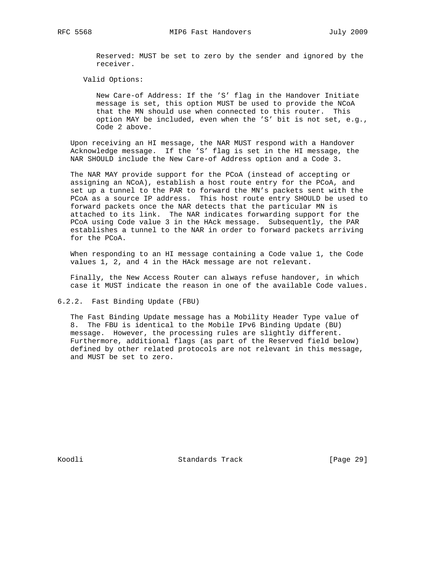Reserved: MUST be set to zero by the sender and ignored by the receiver.

Valid Options:

 New Care-of Address: If the 'S' flag in the Handover Initiate message is set, this option MUST be used to provide the NCoA that the MN should use when connected to this router. This option MAY be included, even when the 'S' bit is not set, e.g., Code 2 above.

 Upon receiving an HI message, the NAR MUST respond with a Handover Acknowledge message. If the 'S' flag is set in the HI message, the NAR SHOULD include the New Care-of Address option and a Code 3.

 The NAR MAY provide support for the PCoA (instead of accepting or assigning an NCoA), establish a host route entry for the PCoA, and set up a tunnel to the PAR to forward the MN's packets sent with the PCoA as a source IP address. This host route entry SHOULD be used to forward packets once the NAR detects that the particular MN is attached to its link. The NAR indicates forwarding support for the PCoA using Code value 3 in the HAck message. Subsequently, the PAR establishes a tunnel to the NAR in order to forward packets arriving for the PCoA.

 When responding to an HI message containing a Code value 1, the Code values 1, 2, and 4 in the HAck message are not relevant.

 Finally, the New Access Router can always refuse handover, in which case it MUST indicate the reason in one of the available Code values.

6.2.2. Fast Binding Update (FBU)

 The Fast Binding Update message has a Mobility Header Type value of 8. The FBU is identical to the Mobile IPv6 Binding Update (BU) message. However, the processing rules are slightly different. Furthermore, additional flags (as part of the Reserved field below) defined by other related protocols are not relevant in this message, and MUST be set to zero.

Koodli Standards Track [Page 29]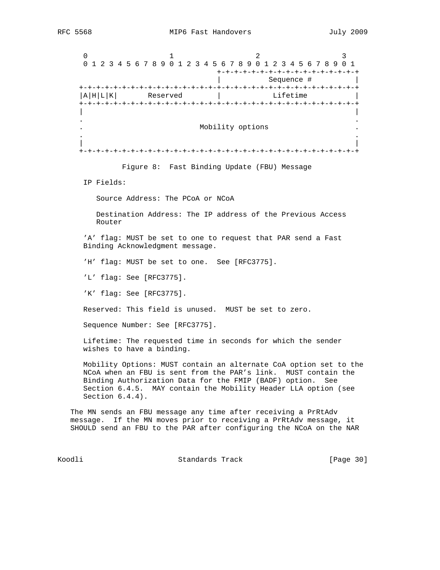$0$  and  $1$  and  $2$  3 0 1 2 3 4 5 6 7 8 9 0 1 2 3 4 5 6 7 8 9 0 1 2 3 4 5 6 7 8 9 0 1 +-+-+-+-+-+-+-+-+-+-+-+-+-+-+-+-+ | Sequence # | +-+-+-+-+-+-+-+-+-+-+-+-+-+-+-+-+-+-+-+-+-+-+-+-+-+-+-+-+-+-+-+-+  $|A|H|L|K|$  Reserved | Lifetime +-+-+-+-+-+-+-+-+-+-+-+-+-+-+-+-+-+-+-+-+-+-+-+-+-+-+-+-+-+-+-+-+ | | . . . Mobility options . . . | | +-+-+-+-+-+-+-+-+-+-+-+-+-+-+-+-+-+-+-+-+-+-+-+-+-+-+-+-+-+-+-+-+

Figure 8: Fast Binding Update (FBU) Message

IP Fields:

Source Address: The PCoA or NCoA

 Destination Address: The IP address of the Previous Access Router

 'A' flag: MUST be set to one to request that PAR send a Fast Binding Acknowledgment message.

'H' flag: MUST be set to one. See [RFC3775].

'L' flag: See [RFC3775].

'K' flag: See [RFC3775].

Reserved: This field is unused. MUST be set to zero.

Sequence Number: See [RFC3775].

 Lifetime: The requested time in seconds for which the sender wishes to have a binding.

 Mobility Options: MUST contain an alternate CoA option set to the NCoA when an FBU is sent from the PAR's link. MUST contain the Binding Authorization Data for the FMIP (BADF) option. See Section 6.4.5. MAY contain the Mobility Header LLA option (see Section 6.4.4).

 The MN sends an FBU message any time after receiving a PrRtAdv message. If the MN moves prior to receiving a PrRtAdv message, it SHOULD send an FBU to the PAR after configuring the NCoA on the NAR

Koodli Standards Track [Page 30]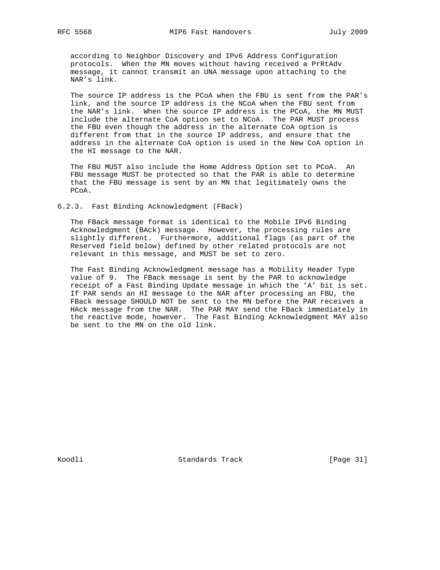according to Neighbor Discovery and IPv6 Address Configuration protocols. When the MN moves without having received a PrRtAdv message, it cannot transmit an UNA message upon attaching to the NAR's link.

 The source IP address is the PCoA when the FBU is sent from the PAR's link, and the source IP address is the NCoA when the FBU sent from the NAR's link. When the source IP address is the PCoA, the MN MUST include the alternate CoA option set to NCoA. The PAR MUST process the FBU even though the address in the alternate CoA option is different from that in the source IP address, and ensure that the address in the alternate CoA option is used in the New CoA option in the HI message to the NAR.

 The FBU MUST also include the Home Address Option set to PCoA. An FBU message MUST be protected so that the PAR is able to determine that the FBU message is sent by an MN that legitimately owns the PCoA.

6.2.3. Fast Binding Acknowledgment (FBack)

 The FBack message format is identical to the Mobile IPv6 Binding Acknowledgment (BAck) message. However, the processing rules are slightly different. Furthermore, additional flags (as part of the Reserved field below) defined by other related protocols are not relevant in this message, and MUST be set to zero.

 The Fast Binding Acknowledgment message has a Mobility Header Type value of 9. The FBack message is sent by the PAR to acknowledge receipt of a Fast Binding Update message in which the 'A' bit is set. If PAR sends an HI message to the NAR after processing an FBU, the FBack message SHOULD NOT be sent to the MN before the PAR receives a HAck message from the NAR. The PAR MAY send the FBack immediately in the reactive mode, however. The Fast Binding Acknowledgment MAY also be sent to the MN on the old link.

Koodli Standards Track [Page 31]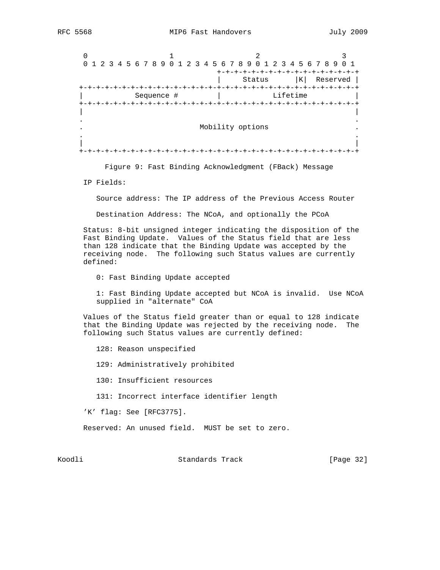$0$  and  $1$  and  $2$  3 0 1 2 3 4 5 6 7 8 9 0 1 2 3 4 5 6 7 8 9 0 1 2 3 4 5 6 7 8 9 0 1 +-+-+-+-+-+-+-+-+-+-+-+-+-+-+-+-+ | Status |K| Reserved | +-+-+-+-+-+-+-+-+-+-+-+-+-+-+-+-+-+-+-+-+-+-+-+-+-+-+-+-+-+-+-+-+ Sequence # | Lifetime +-+-+-+-+-+-+-+-+-+-+-+-+-+-+-+-+-+-+-+-+-+-+-+-+-+-+-+-+-+-+-+-+ | | . . . Mobility options . . . | | +-+-+-+-+-+-+-+-+-+-+-+-+-+-+-+-+-+-+-+-+-+-+-+-+-+-+-+-+-+-+-+-+

Figure 9: Fast Binding Acknowledgment (FBack) Message

IP Fields:

Source address: The IP address of the Previous Access Router

Destination Address: The NCoA, and optionally the PCoA

 Status: 8-bit unsigned integer indicating the disposition of the Fast Binding Update. Values of the Status field that are less than 128 indicate that the Binding Update was accepted by the receiving node. The following such Status values are currently defined:

0: Fast Binding Update accepted

 1: Fast Binding Update accepted but NCoA is invalid. Use NCoA supplied in "alternate" CoA

 Values of the Status field greater than or equal to 128 indicate that the Binding Update was rejected by the receiving node. The following such Status values are currently defined:

128: Reason unspecified

129: Administratively prohibited

130: Insufficient resources

131: Incorrect interface identifier length

'K' flag: See [RFC3775].

Reserved: An unused field. MUST be set to zero.

Koodli Standards Track [Page 32]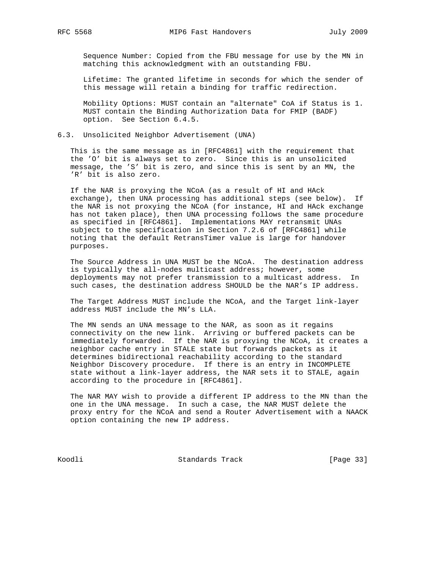Sequence Number: Copied from the FBU message for use by the MN in matching this acknowledgment with an outstanding FBU.

 Lifetime: The granted lifetime in seconds for which the sender of this message will retain a binding for traffic redirection.

 Mobility Options: MUST contain an "alternate" CoA if Status is 1. MUST contain the Binding Authorization Data for FMIP (BADF) option. See Section 6.4.5.

6.3. Unsolicited Neighbor Advertisement (UNA)

 This is the same message as in [RFC4861] with the requirement that the 'O' bit is always set to zero. Since this is an unsolicited message, the 'S' bit is zero, and since this is sent by an MN, the 'R' bit is also zero.

 If the NAR is proxying the NCoA (as a result of HI and HAck exchange), then UNA processing has additional steps (see below). If the NAR is not proxying the NCoA (for instance, HI and HAck exchange has not taken place), then UNA processing follows the same procedure as specified in [RFC4861]. Implementations MAY retransmit UNAs subject to the specification in Section 7.2.6 of [RFC4861] while noting that the default RetransTimer value is large for handover purposes.

 The Source Address in UNA MUST be the NCoA. The destination address is typically the all-nodes multicast address; however, some deployments may not prefer transmission to a multicast address. In such cases, the destination address SHOULD be the NAR's IP address.

 The Target Address MUST include the NCoA, and the Target link-layer address MUST include the MN's LLA.

 The MN sends an UNA message to the NAR, as soon as it regains connectivity on the new link. Arriving or buffered packets can be immediately forwarded. If the NAR is proxying the NCoA, it creates a neighbor cache entry in STALE state but forwards packets as it determines bidirectional reachability according to the standard Neighbor Discovery procedure. If there is an entry in INCOMPLETE state without a link-layer address, the NAR sets it to STALE, again according to the procedure in [RFC4861].

 The NAR MAY wish to provide a different IP address to the MN than the one in the UNA message. In such a case, the NAR MUST delete the proxy entry for the NCoA and send a Router Advertisement with a NAACK option containing the new IP address.

Koodli Standards Track [Page 33]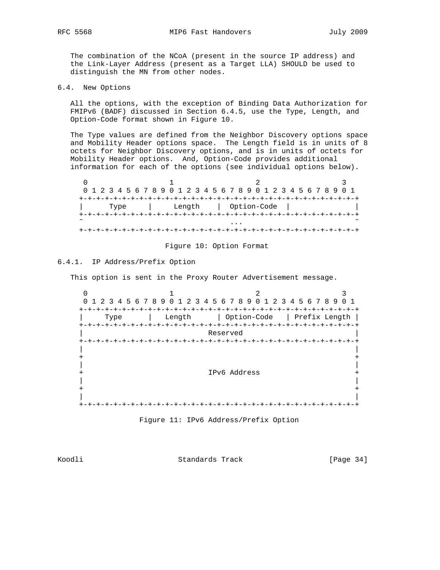The combination of the NCoA (present in the source IP address) and the Link-Layer Address (present as a Target LLA) SHOULD be used to distinguish the MN from other nodes.

6.4. New Options

 All the options, with the exception of Binding Data Authorization for FMIPv6 (BADF) discussed in Section 6.4.5, use the Type, Length, and Option-Code format shown in Figure 10.

 The Type values are defined from the Neighbor Discovery options space and Mobility Header options space. The Length field is in units of 8 octets for Neighbor Discovery options, and is in units of octets for Mobility Header options. And, Option-Code provides additional information for each of the options (see individual options below).

|        |  |      |  |  |  |        |  |  | 0 1 2 3 4 5 6 7 8 9 0 1 2 3 4 5 6 7 8 9 0 1 2 3 4 5 6 7 8 9 0 1 |  |  |  |  |  |  |  |
|--------|--|------|--|--|--|--------|--|--|-----------------------------------------------------------------|--|--|--|--|--|--|--|
|        |  |      |  |  |  |        |  |  |                                                                 |  |  |  |  |  |  |  |
|        |  | Type |  |  |  | Length |  |  | Option-Code                                                     |  |  |  |  |  |  |  |
|        |  |      |  |  |  |        |  |  |                                                                 |  |  |  |  |  |  |  |
| $\sim$ |  |      |  |  |  |        |  |  | .                                                               |  |  |  |  |  |  |  |
|        |  |      |  |  |  |        |  |  |                                                                 |  |  |  |  |  |  |  |

### Figure 10: Option Format

# 6.4.1. IP Address/Prefix Option

This option is sent in the Proxy Router Advertisement message.

 $0$  and  $1$  and  $2$  3 0 1 2 3 4 5 6 7 8 9 0 1 2 3 4 5 6 7 8 9 0 1 2 3 4 5 6 7 8 9 0 1 +-+-+-+-+-+-+-+-+-+-+-+-+-+-+-+-+-+-+-+-+-+-+-+-+-+-+-+-+-+-+-+-+ | Type | Length | Option-Code | Prefix Length | +-+-+-+-+-+-+-+-+-+-+-+-+-+-+-+-+-+-+-+-+-+-+-+-+-+-+-+-+-+-+-+-+ | Reserved | +-+-+-+-+-+-+-+-+-+-+-+-+-+-+-+-+-+-+-+-+-+-+-+-+-+-+-+-+-+-+-+-+ | | + + | | + IPv6 Address + | | + + | | +-+-+-+-+-+-+-+-+-+-+-+-+-+-+-+-+-+-+-+-+-+-+-+-+-+-+-+-+-+-+-+-+



Koodli Standards Track [Page 34]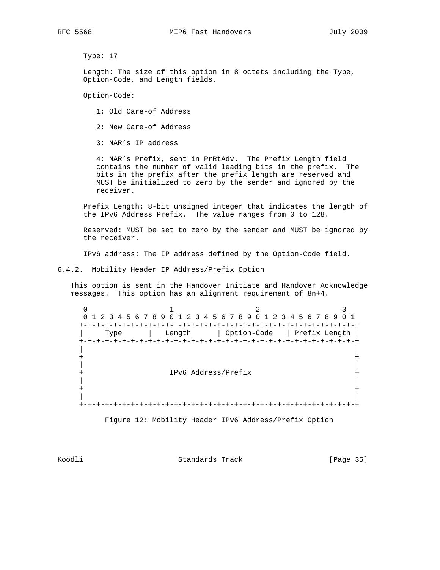Type: 17

 Length: The size of this option in 8 octets including the Type, Option-Code, and Length fields.

Option-Code:

- 1: Old Care-of Address
- 2: New Care-of Address

3: NAR's IP address

 4: NAR's Prefix, sent in PrRtAdv. The Prefix Length field contains the number of valid leading bits in the prefix. The bits in the prefix after the prefix length are reserved and MUST be initialized to zero by the sender and ignored by the receiver.

 Prefix Length: 8-bit unsigned integer that indicates the length of the IPv6 Address Prefix. The value ranges from 0 to 128.

 Reserved: MUST be set to zero by the sender and MUST be ignored by the receiver.

IPv6 address: The IP address defined by the Option-Code field.

6.4.2. Mobility Header IP Address/Prefix Option

 This option is sent in the Handover Initiate and Handover Acknowledge messages. This option has an alignment requirement of 8n+4.

0  $1$   $2$   $3$  0 1 2 3 4 5 6 7 8 9 0 1 2 3 4 5 6 7 8 9 0 1 2 3 4 5 6 7 8 9 0 1 +-+-+-+-+-+-+-+-+-+-+-+-+-+-+-+-+-+-+-+-+-+-+-+-+-+-+-+-+-+-+-+-+ | Type | Length | Option-Code | Prefix Length | +-+-+-+-+-+-+-+-+-+-+-+-+-+-+-+-+-+-+-+-+-+-+-+-+-+-+-+-+-+-+-+-+ | | + + | | + IPv6 Address/Prefix + | | + + | | +-+-+-+-+-+-+-+-+-+-+-+-+-+-+-+-+-+-+-+-+-+-+-+-+-+-+-+-+-+-+-+-+

Figure 12: Mobility Header IPv6 Address/Prefix Option

Koodli Standards Track [Page 35]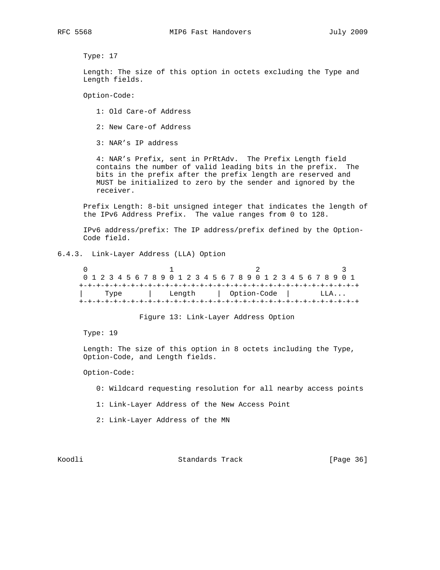Type: 17

 Length: The size of this option in octets excluding the Type and Length fields.

Option-Code:

- 1: Old Care-of Address
- 2: New Care-of Address

3: NAR's IP address

 4: NAR's Prefix, sent in PrRtAdv. The Prefix Length field contains the number of valid leading bits in the prefix. The bits in the prefix after the prefix length are reserved and MUST be initialized to zero by the sender and ignored by the receiver.

 Prefix Length: 8-bit unsigned integer that indicates the length of the IPv6 Address Prefix. The value ranges from 0 to 128.

 IPv6 address/prefix: The IP address/prefix defined by the Option- Code field.

# 6.4.3. Link-Layer Address (LLA) Option

 $0$  and  $1$  and  $2$  3 0 1 2 3 4 5 6 7 8 9 0 1 2 3 4 5 6 7 8 9 0 1 2 3 4 5 6 7 8 9 0 1 +-+-+-+-+-+-+-+-+-+-+-+-+-+-+-+-+-+-+-+-+-+-+-+-+-+-+-+-+-+-+-+-+ | Type | Length | Option-Code | LLA... +-+-+-+-+-+-+-+-+-+-+-+-+-+-+-+-+-+-+-+-+-+-+-+-+-+-+-+-+-+-+-+-+

Figure 13: Link-Layer Address Option

Type: 19

 Length: The size of this option in 8 octets including the Type, Option-Code, and Length fields.

#### Option-Code:

- 0: Wildcard requesting resolution for all nearby access points
- 1: Link-Layer Address of the New Access Point
- 2: Link-Layer Address of the MN

Koodli Standards Track [Page 36]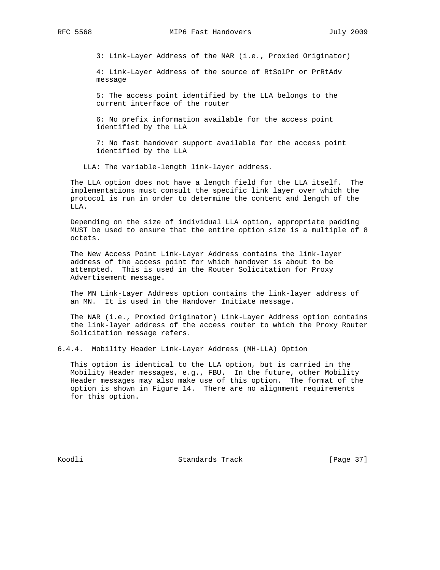3: Link-Layer Address of the NAR (i.e., Proxied Originator)

 4: Link-Layer Address of the source of RtSolPr or PrRtAdv message

 5: The access point identified by the LLA belongs to the current interface of the router

 6: No prefix information available for the access point identified by the LLA

 7: No fast handover support available for the access point identified by the LLA

LLA: The variable-length link-layer address.

 The LLA option does not have a length field for the LLA itself. The implementations must consult the specific link layer over which the protocol is run in order to determine the content and length of the LLA.

 Depending on the size of individual LLA option, appropriate padding MUST be used to ensure that the entire option size is a multiple of 8 octets.

 The New Access Point Link-Layer Address contains the link-layer address of the access point for which handover is about to be attempted. This is used in the Router Solicitation for Proxy Advertisement message.

 The MN Link-Layer Address option contains the link-layer address of an MN. It is used in the Handover Initiate message.

 The NAR (i.e., Proxied Originator) Link-Layer Address option contains the link-layer address of the access router to which the Proxy Router Solicitation message refers.

6.4.4. Mobility Header Link-Layer Address (MH-LLA) Option

 This option is identical to the LLA option, but is carried in the Mobility Header messages, e.g., FBU. In the future, other Mobility Header messages may also make use of this option. The format of the option is shown in Figure 14. There are no alignment requirements for this option.

Koodli Standards Track [Page 37]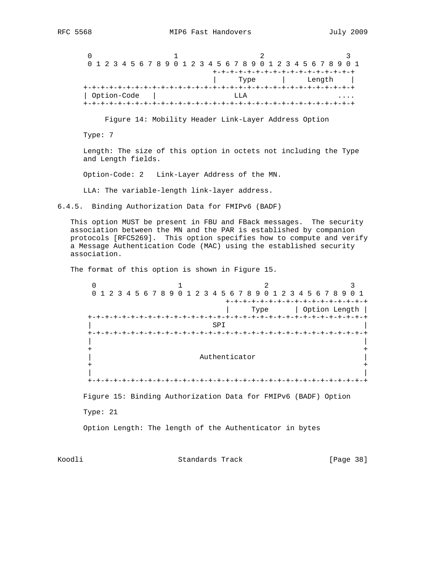$0$  1 2 3 0 1 2 3 4 5 6 7 8 9 0 1 2 3 4 5 6 7 8 9 0 1 2 3 4 5 6 7 8 9 0 1 +-+-+-+-+-+-+-+-+-+-+-+-+-+-+-+-+ | Type | Length | +-+-+-+-+-+-+-+-+-+-+-+-+-+-+-+-+-+-+-+-+-+-+-+-+-+-+-+-+-+-+-+ | Option-Code | LLA .... +-+-+-+-+-+-+-+-+-+-+-+-+-+-+-+-+-+-+-+-+-+-+-+-+-+-+-+-+-+-+-+

Figure 14: Mobility Header Link-Layer Address Option

Type: 7

 Length: The size of this option in octets not including the Type and Length fields.

Option-Code: 2 Link-Layer Address of the MN.

LLA: The variable-length link-layer address.

6.4.5. Binding Authorization Data for FMIPv6 (BADF)

 This option MUST be present in FBU and FBack messages. The security association between the MN and the PAR is established by companion protocols [RFC5269]. This option specifies how to compute and verify a Message Authentication Code (MAC) using the established security association.

The format of this option is shown in Figure 15.

 $0$  1 2 3 0 1 2 3 4 5 6 7 8 9 0 1 2 3 4 5 6 7 8 9 0 1 2 3 4 5 6 7 8 9 0 1 +-+-+-+-+-+-+-+-+-+-+-+-+-+-+-+-+ | Type | Option Length | +-+-+-+-+-+-+-+-+-+-+-+-+-+-+-+-+-+-+-+-+-+-+-+-+-+-+-+-+-+-+-+-+ | SPI | +-+-+-+-+-+-+-+-+-+-+-+-+-+-+-+-+-+-+-+-+-+-+-+-+-+-+-+-+-+-+-+-+ | | + + Authenticator + + | | +-+-+-+-+-+-+-+-+-+-+-+-+-+-+-+-+-+-+-+-+-+-+-+-+-+-+-+-+-+-+-+-+ Figure 15: Binding Authorization Data for FMIPv6 (BADF) Option Type: 21 Option Length: The length of the Authenticator in bytes

Koodli Standards Track [Page 38]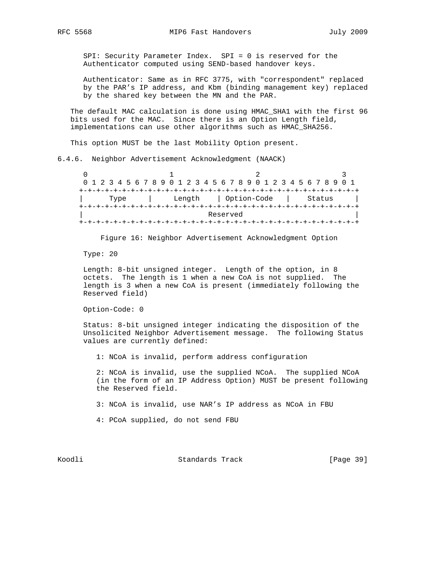SPI: Security Parameter Index. SPI = 0 is reserved for the Authenticator computed using SEND-based handover keys.

 Authenticator: Same as in RFC 3775, with "correspondent" replaced by the PAR's IP address, and Kbm (binding management key) replaced by the shared key between the MN and the PAR.

 The default MAC calculation is done using HMAC\_SHA1 with the first 96 bits used for the MAC. Since there is an Option Length field, implementations can use other algorithms such as HMAC\_SHA256.

This option MUST be the last Mobility Option present.

6.4.6. Neighbor Advertisement Acknowledgment (NAACK)

 $0$  and  $1$  and  $2$  3 0 1 2 3 4 5 6 7 8 9 0 1 2 3 4 5 6 7 8 9 0 1 2 3 4 5 6 7 8 9 0 1 +-+-+-+-+-+-+-+-+-+-+-+-+-+-+-+-+-+-+-+-+-+-+-+-+-+-+-+-+-+-+-+-+ | Type | Length | Option-Code | Status | +-+-+-+-+-+-+-+-+-+-+-+-+-+-+-+-+-+-+-+-+-+-+-+-+-+-+-+-+-+-+-+-+ Reserved +-+-+-+-+-+-+-+-+-+-+-+-+-+-+-+-+-+-+-+-+-+-+-+-+-+-+-+-+-+-+-+-+

Figure 16: Neighbor Advertisement Acknowledgment Option

Type: 20

 Length: 8-bit unsigned integer. Length of the option, in 8 octets. The length is 1 when a new CoA is not supplied. The length is 3 when a new CoA is present (immediately following the Reserved field)

Option-Code: 0

 Status: 8-bit unsigned integer indicating the disposition of the Unsolicited Neighbor Advertisement message. The following Status values are currently defined:

1: NCoA is invalid, perform address configuration

 2: NCoA is invalid, use the supplied NCoA. The supplied NCoA (in the form of an IP Address Option) MUST be present following the Reserved field.

3: NCoA is invalid, use NAR's IP address as NCoA in FBU

4: PCoA supplied, do not send FBU

Koodli Standards Track [Page 39]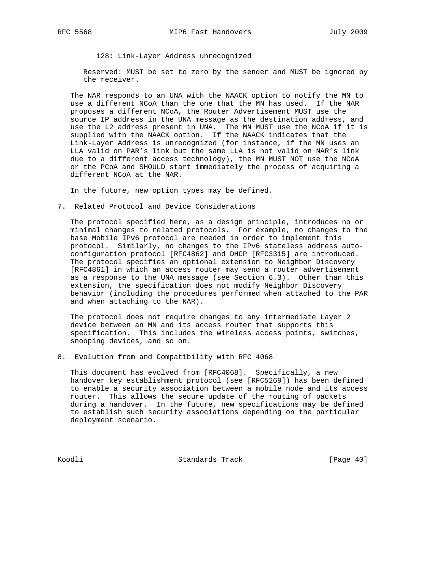128: Link-Layer Address unrecognized

 Reserved: MUST be set to zero by the sender and MUST be ignored by the receiver.

 The NAR responds to an UNA with the NAACK option to notify the MN to use a different NCoA than the one that the MN has used. If the NAR proposes a different NCoA, the Router Advertisement MUST use the source IP address in the UNA message as the destination address, and use the L2 address present in UNA. The MN MUST use the NCoA if it is supplied with the NAACK option. If the NAACK indicates that the Link-Layer Address is unrecognized (for instance, if the MN uses an LLA valid on PAR's link but the same LLA is not valid on NAR's link due to a different access technology), the MN MUST NOT use the NCoA or the PCoA and SHOULD start immediately the process of acquiring a different NCoA at the NAR.

In the future, new option types may be defined.

7. Related Protocol and Device Considerations

 The protocol specified here, as a design principle, introduces no or minimal changes to related protocols. For example, no changes to the base Mobile IPv6 protocol are needed in order to implement this protocol. Similarly, no changes to the IPv6 stateless address auto configuration protocol [RFC4862] and DHCP [RFC3315] are introduced. The protocol specifies an optional extension to Neighbor Discovery [RFC4861] in which an access router may send a router advertisement as a response to the UNA message (see Section 6.3). Other than this extension, the specification does not modify Neighbor Discovery behavior (including the procedures performed when attached to the PAR and when attaching to the NAR).

 The protocol does not require changes to any intermediate Layer 2 device between an MN and its access router that supports this specification. This includes the wireless access points, switches, snooping devices, and so on.

8. Evolution from and Compatibility with RFC 4068

 This document has evolved from [RFC4068]. Specifically, a new handover key establishment protocol (see [RFC5269]) has been defined to enable a security association between a mobile node and its access router. This allows the secure update of the routing of packets during a handover. In the future, new specifications may be defined to establish such security associations depending on the particular deployment scenario.

Koodli Standards Track [Page 40]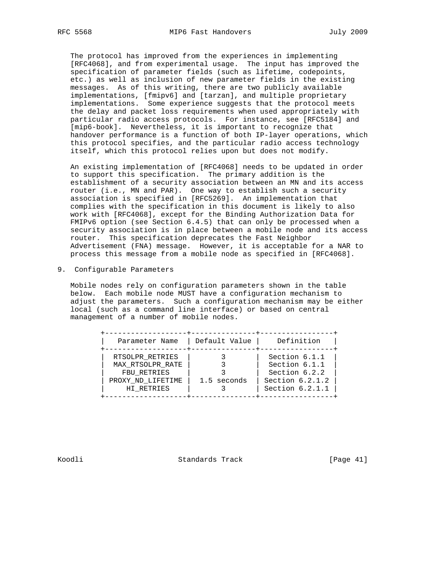The protocol has improved from the experiences in implementing [RFC4068], and from experimental usage. The input has improved the specification of parameter fields (such as lifetime, codepoints, etc.) as well as inclusion of new parameter fields in the existing messages. As of this writing, there are two publicly available implementations, [fmipv6] and [tarzan], and multiple proprietary implementations. Some experience suggests that the protocol meets the delay and packet loss requirements when used appropriately with particular radio access protocols. For instance, see [RFC5184] and [mip6-book]. Nevertheless, it is important to recognize that handover performance is a function of both IP-layer operations, which this protocol specifies, and the particular radio access technology itself, which this protocol relies upon but does not modify.

 An existing implementation of [RFC4068] needs to be updated in order to support this specification. The primary addition is the establishment of a security association between an MN and its access router (i.e., MN and PAR). One way to establish such a security association is specified in [RFC5269]. An implementation that complies with the specification in this document is likely to also work with [RFC4068], except for the Binding Authorization Data for FMIPv6 option (see Section 6.4.5) that can only be processed when a security association is in place between a mobile node and its access router. This specification deprecates the Fast Neighbor Advertisement (FNA) message. However, it is acceptable for a NAR to process this message from a mobile node as specified in [RFC4068].

9. Configurable Parameters

 Mobile nodes rely on configuration parameters shown in the table below. Each mobile node MUST have a configuration mechanism to adjust the parameters. Such a configuration mechanism may be either local (such as a command line interface) or based on central management of a number of mobile nodes.

| Parameter Name    | Default Value | Definition        |
|-------------------|---------------|-------------------|
| RTSOLPR_RETRIES   |               | Section 6.1.1     |
| MAX RTSOLPR RATE  |               | Section 6.1.1     |
| FBU RETRIES       |               | Section 6.2.2     |
| PROXY ND LIFETIME | 1.5 seconds   | Section $6.2.1.2$ |
| HI RETRIES        |               | Section 6.2.1.1   |

Koodli Standards Track [Page 41]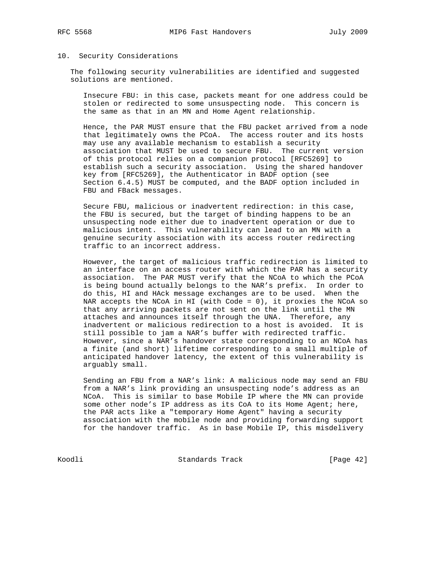# 10. Security Considerations

 The following security vulnerabilities are identified and suggested solutions are mentioned.

 Insecure FBU: in this case, packets meant for one address could be stolen or redirected to some unsuspecting node. This concern is the same as that in an MN and Home Agent relationship.

 Hence, the PAR MUST ensure that the FBU packet arrived from a node that legitimately owns the PCoA. The access router and its hosts may use any available mechanism to establish a security association that MUST be used to secure FBU. The current version of this protocol relies on a companion protocol [RFC5269] to establish such a security association. Using the shared handover key from [RFC5269], the Authenticator in BADF option (see Section 6.4.5) MUST be computed, and the BADF option included in FBU and FBack messages.

 Secure FBU, malicious or inadvertent redirection: in this case, the FBU is secured, but the target of binding happens to be an unsuspecting node either due to inadvertent operation or due to malicious intent. This vulnerability can lead to an MN with a genuine security association with its access router redirecting traffic to an incorrect address.

 However, the target of malicious traffic redirection is limited to an interface on an access router with which the PAR has a security association. The PAR MUST verify that the NCoA to which the PCoA is being bound actually belongs to the NAR's prefix. In order to do this, HI and HAck message exchanges are to be used. When the NAR accepts the NCoA in HI (with Code = 0), it proxies the NCoA so that any arriving packets are not sent on the link until the MN attaches and announces itself through the UNA. Therefore, any inadvertent or malicious redirection to a host is avoided. It is still possible to jam a NAR's buffer with redirected traffic. However, since a NAR's handover state corresponding to an NCoA has a finite (and short) lifetime corresponding to a small multiple of anticipated handover latency, the extent of this vulnerability is arguably small.

 Sending an FBU from a NAR's link: A malicious node may send an FBU from a NAR's link providing an unsuspecting node's address as an NCoA. This is similar to base Mobile IP where the MN can provide some other node's IP address as its CoA to its Home Agent; here, the PAR acts like a "temporary Home Agent" having a security association with the mobile node and providing forwarding support for the handover traffic. As in base Mobile IP, this misdelivery

Koodli Standards Track [Page 42]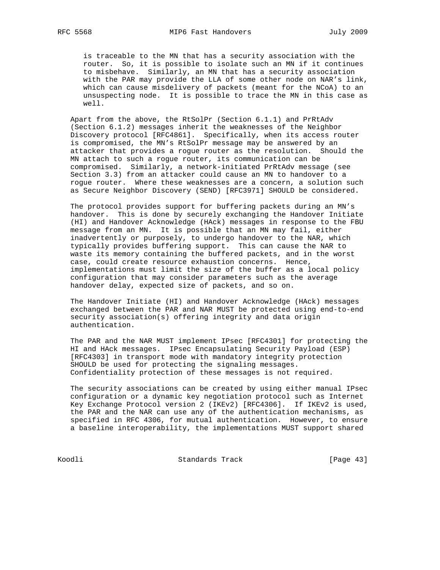is traceable to the MN that has a security association with the router. So, it is possible to isolate such an MN if it continues to misbehave. Similarly, an MN that has a security association with the PAR may provide the LLA of some other node on NAR's link, which can cause misdelivery of packets (meant for the NCoA) to an unsuspecting node. It is possible to trace the MN in this case as well.

 Apart from the above, the RtSolPr (Section 6.1.1) and PrRtAdv (Section 6.1.2) messages inherit the weaknesses of the Neighbor Discovery protocol [RFC4861]. Specifically, when its access router is compromised, the MN's RtSolPr message may be answered by an attacker that provides a rogue router as the resolution. Should the MN attach to such a rogue router, its communication can be compromised. Similarly, a network-initiated PrRtAdv message (see Section 3.3) from an attacker could cause an MN to handover to a rogue router. Where these weaknesses are a concern, a solution such as Secure Neighbor Discovery (SEND) [RFC3971] SHOULD be considered.

 The protocol provides support for buffering packets during an MN's handover. This is done by securely exchanging the Handover Initiate (HI) and Handover Acknowledge (HAck) messages in response to the FBU message from an MN. It is possible that an MN may fail, either inadvertently or purposely, to undergo handover to the NAR, which typically provides buffering support. This can cause the NAR to waste its memory containing the buffered packets, and in the worst case, could create resource exhaustion concerns. Hence, implementations must limit the size of the buffer as a local policy configuration that may consider parameters such as the average handover delay, expected size of packets, and so on.

 The Handover Initiate (HI) and Handover Acknowledge (HAck) messages exchanged between the PAR and NAR MUST be protected using end-to-end security association(s) offering integrity and data origin authentication.

 The PAR and the NAR MUST implement IPsec [RFC4301] for protecting the HI and HAck messages. IPsec Encapsulating Security Payload (ESP) [RFC4303] in transport mode with mandatory integrity protection SHOULD be used for protecting the signaling messages. Confidentiality protection of these messages is not required.

 The security associations can be created by using either manual IPsec configuration or a dynamic key negotiation protocol such as Internet Key Exchange Protocol version 2 (IKEv2) [RFC4306]. If IKEv2 is used, the PAR and the NAR can use any of the authentication mechanisms, as specified in RFC 4306, for mutual authentication. However, to ensure a baseline interoperability, the implementations MUST support shared

Koodli Standards Track [Page 43]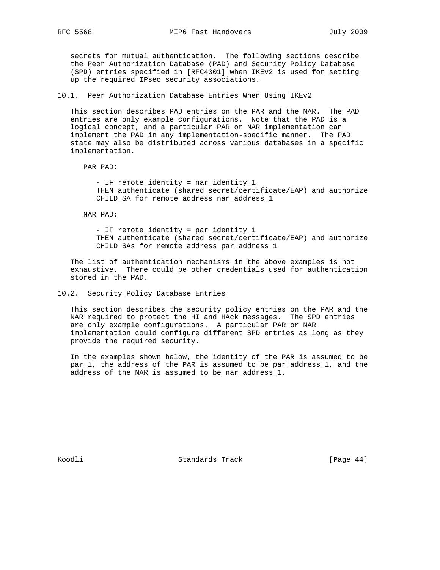secrets for mutual authentication. The following sections describe the Peer Authorization Database (PAD) and Security Policy Database (SPD) entries specified in [RFC4301] when IKEv2 is used for setting up the required IPsec security associations.

10.1. Peer Authorization Database Entries When Using IKEv2

 This section describes PAD entries on the PAR and the NAR. The PAD entries are only example configurations. Note that the PAD is a logical concept, and a particular PAR or NAR implementation can implement the PAD in any implementation-specific manner. The PAD state may also be distributed across various databases in a specific implementation.

PAR PAD:

 - IF remote\_identity = nar\_identity\_1 THEN authenticate (shared secret/certificate/EAP) and authorize CHILD\_SA for remote address nar\_address\_1

NAR PAD:

 - IF remote\_identity = par\_identity\_1 THEN authenticate (shared secret/certificate/EAP) and authorize CHILD\_SAs for remote address par\_address\_1

 The list of authentication mechanisms in the above examples is not exhaustive. There could be other credentials used for authentication stored in the PAD.

## 10.2. Security Policy Database Entries

 This section describes the security policy entries on the PAR and the NAR required to protect the HI and HAck messages. The SPD entries are only example configurations. A particular PAR or NAR implementation could configure different SPD entries as long as they provide the required security.

 In the examples shown below, the identity of the PAR is assumed to be par 1, the address of the PAR is assumed to be par address 1, and the address of the NAR is assumed to be nar\_address\_1.

Koodli Standards Track [Page 44]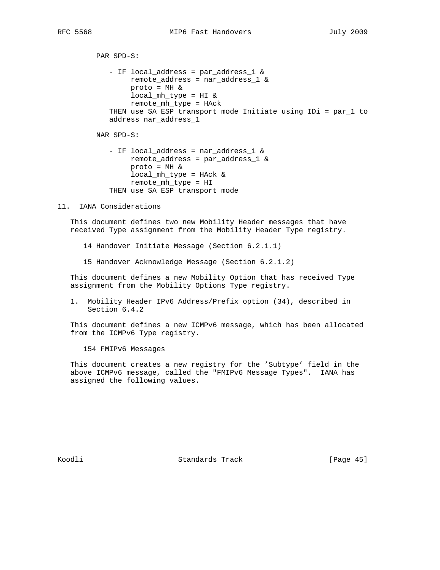```
 PAR SPD-S:
   - IF local_address = par_address_1 &
        remote_address = nar_address_1 &
        proto = MH &
        local_mh_type = HI &
        remote_mh_type = HAck
   THEN use SA ESP transport mode Initiate using IDi = par_1 to
   address nar_address_1
NAR SPD-S:
```

```
 - IF local_address = nar_address_1 &
     remote_address = par_address_1 &
     proto = MH &
     local_mh_type = HAck &
     remote_mh_type = HI
THEN use SA ESP transport mode
```
11. IANA Considerations

 This document defines two new Mobility Header messages that have received Type assignment from the Mobility Header Type registry.

14 Handover Initiate Message (Section 6.2.1.1)

15 Handover Acknowledge Message (Section 6.2.1.2)

 This document defines a new Mobility Option that has received Type assignment from the Mobility Options Type registry.

 1. Mobility Header IPv6 Address/Prefix option (34), described in Section 6.4.2

 This document defines a new ICMPv6 message, which has been allocated from the ICMPv6 Type registry.

154 FMIPv6 Messages

 This document creates a new registry for the 'Subtype' field in the above ICMPv6 message, called the "FMIPv6 Message Types". IANA has assigned the following values.

Koodli Standards Track [Page 45]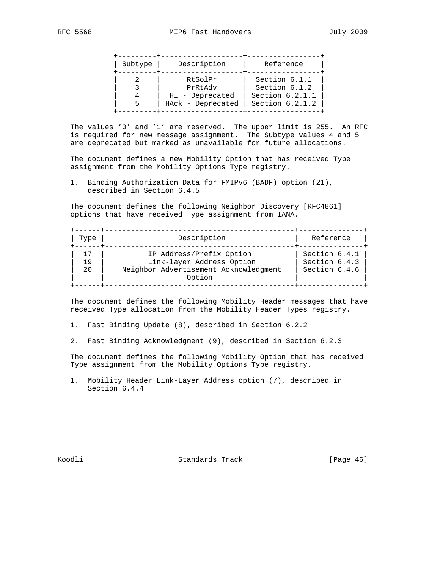| Subtype | Description                          | Reference                              |
|---------|--------------------------------------|----------------------------------------|
|         | RtSolPr<br>PrRtAdv                   | Section 6.1.1<br>Section 6.1.2         |
| 5       | HI - Deprecated<br>HAck - Deprecated | Section $6.2.1.1$<br>Section $6.2.1.2$ |

 The values '0' and '1' are reserved. The upper limit is 255. An RFC is required for new message assignment. The Subtype values 4 and 5 are deprecated but marked as unavailable for future allocations.

 The document defines a new Mobility Option that has received Type assignment from the Mobility Options Type registry.

 1. Binding Authorization Data for FMIPv6 (BADF) option (21), described in Section 6.4.5

 The document defines the following Neighbor Discovery [RFC4861] options that have received Type assignment from IANA.

| Type | Description                                     | Reference     |
|------|-------------------------------------------------|---------------|
|      | IP Address/Prefix Option                        | Section 6.4.1 |
| 19   | Link-layer Address Option                       | Section 6.4.3 |
| 20   | Neighbor Advertisement Acknowledgment<br>Option | Section 6.4.6 |

 The document defines the following Mobility Header messages that have received Type allocation from the Mobility Header Types registry.

1. Fast Binding Update (8), described in Section 6.2.2

2. Fast Binding Acknowledgment (9), described in Section 6.2.3

 The document defines the following Mobility Option that has received Type assignment from the Mobility Options Type registry.

 1. Mobility Header Link-Layer Address option (7), described in Section 6.4.4

Koodli Standards Track [Page 46]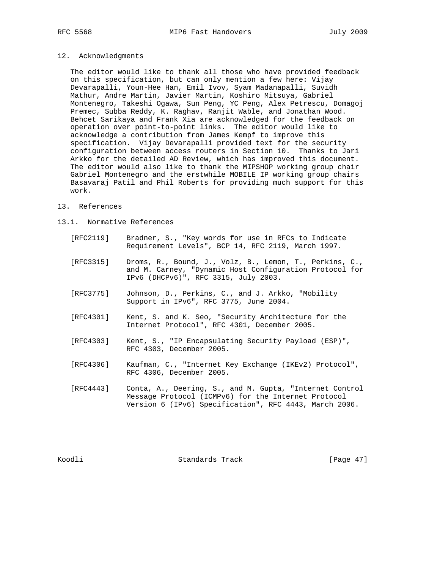# 12. Acknowledgments

 The editor would like to thank all those who have provided feedback on this specification, but can only mention a few here: Vijay Devarapalli, Youn-Hee Han, Emil Ivov, Syam Madanapalli, Suvidh Mathur, Andre Martin, Javier Martin, Koshiro Mitsuya, Gabriel Montenegro, Takeshi Ogawa, Sun Peng, YC Peng, Alex Petrescu, Domagoj Premec, Subba Reddy, K. Raghav, Ranjit Wable, and Jonathan Wood. Behcet Sarikaya and Frank Xia are acknowledged for the feedback on operation over point-to-point links. The editor would like to acknowledge a contribution from James Kempf to improve this specification. Vijay Devarapalli provided text for the security configuration between access routers in Section 10. Thanks to Jari Arkko for the detailed AD Review, which has improved this document. The editor would also like to thank the MIPSHOP working group chair Gabriel Montenegro and the erstwhile MOBILE IP working group chairs Basavaraj Patil and Phil Roberts for providing much support for this work.

#### 13. References

## 13.1. Normative References

- [RFC2119] Bradner, S., "Key words for use in RFCs to Indicate Requirement Levels", BCP 14, RFC 2119, March 1997.
- [RFC3315] Droms, R., Bound, J., Volz, B., Lemon, T., Perkins, C., and M. Carney, "Dynamic Host Configuration Protocol for IPv6 (DHCPv6)", RFC 3315, July 2003.
- [RFC3775] Johnson, D., Perkins, C., and J. Arkko, "Mobility Support in IPv6", RFC 3775, June 2004.
- [RFC4301] Kent, S. and K. Seo, "Security Architecture for the Internet Protocol", RFC 4301, December 2005.
- [RFC4303] Kent, S., "IP Encapsulating Security Payload (ESP)", RFC 4303, December 2005.
- [RFC4306] Kaufman, C., "Internet Key Exchange (IKEv2) Protocol", RFC 4306, December 2005.
- [RFC4443] Conta, A., Deering, S., and M. Gupta, "Internet Control Message Protocol (ICMPv6) for the Internet Protocol Version 6 (IPv6) Specification", RFC 4443, March 2006.

Koodli Standards Track [Page 47]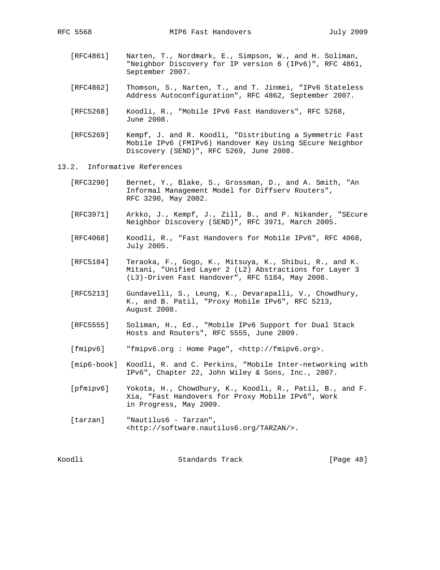- [RFC4861] Narten, T., Nordmark, E., Simpson, W., and H. Soliman, "Neighbor Discovery for IP version 6 (IPv6)", RFC 4861, September 2007.
- [RFC4862] Thomson, S., Narten, T., and T. Jinmei, "IPv6 Stateless Address Autoconfiguration", RFC 4862, September 2007.
- [RFC5268] Koodli, R., "Mobile IPv6 Fast Handovers", RFC 5268, June 2008.
- [RFC5269] Kempf, J. and R. Koodli, "Distributing a Symmetric Fast Mobile IPv6 (FMIPv6) Handover Key Using SEcure Neighbor Discovery (SEND)", RFC 5269, June 2008.
- 13.2. Informative References
	- [RFC3290] Bernet, Y., Blake, S., Grossman, D., and A. Smith, "An Informal Management Model for Diffserv Routers", RFC 3290, May 2002.
	- [RFC3971] Arkko, J., Kempf, J., Zill, B., and P. Nikander, "SEcure Neighbor Discovery (SEND)", RFC 3971, March 2005.
	- [RFC4068] Koodli, R., "Fast Handovers for Mobile IPv6", RFC 4068, July 2005.
	- [RFC5184] Teraoka, F., Gogo, K., Mitsuya, K., Shibui, R., and K. Mitani, "Unified Layer 2 (L2) Abstractions for Layer 3 (L3)-Driven Fast Handover", RFC 5184, May 2008.
	- [RFC5213] Gundavelli, S., Leung, K., Devarapalli, V., Chowdhury, K., and B. Patil, "Proxy Mobile IPv6", RFC 5213, August 2008.
- [RFC5555] Soliman, H., Ed., "Mobile IPv6 Support for Dual Stack Hosts and Routers", RFC 5555, June 2009.
	- [fmipv6] "fmipv6.org : Home Page", <http://fmipv6.org>.
	- [mip6-book] Koodli, R. and C. Perkins, "Mobile Inter-networking with IPv6", Chapter 22, John Wiley & Sons, Inc., 2007.

 [pfmipv6] Yokota, H., Chowdhury, K., Koodli, R., Patil, B., and F. Xia, "Fast Handovers for Proxy Mobile IPv6", Work in Progress, May 2009.

 [tarzan] "Nautilus6 - Tarzan", <http://software.nautilus6.org/TARZAN/>.

Koodli Standards Track [Page 48]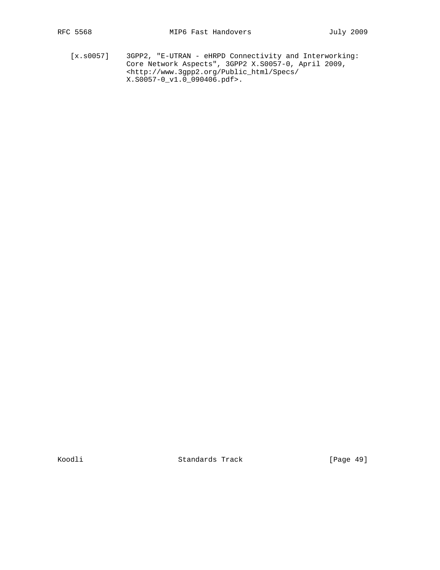[x.s0057] 3GPP2, "E-UTRAN - eHRPD Connectivity and Interworking: Core Network Aspects", 3GPP2 X.S0057-0, April 2009, <http://www.3gpp2.org/Public\_html/Specs/ X.S0057-0\_v1.0\_090406.pdf>.

Koodli Standards Track [Page 49]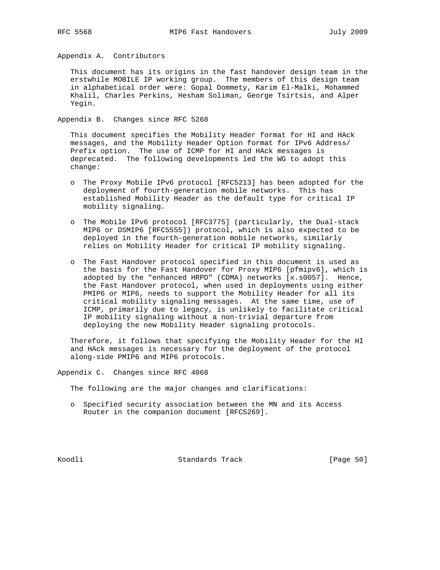Appendix A. Contributors

 This document has its origins in the fast handover design team in the erstwhile MOBILE IP working group. The members of this design team in alphabetical order were: Gopal Dommety, Karim El-Malki, Mohammed Khalil, Charles Perkins, Hesham Soliman, George Tsirtsis, and Alper Yegin.

Appendix B. Changes since RFC 5268

 This document specifies the Mobility Header format for HI and HAck messages, and the Mobility Header Option format for IPv6 Address/ Prefix option. The use of ICMP for HI and HAck messages is deprecated. The following developments led the WG to adopt this change:

- o The Proxy Mobile IPv6 protocol [RFC5213] has been adopted for the deployment of fourth-generation mobile networks. This has established Mobility Header as the default type for critical IP mobility signaling.
- o The Mobile IPv6 protocol [RFC3775] (particularly, the Dual-stack MIP6 or DSMIP6 [RFC5555]) protocol, which is also expected to be deployed in the fourth-generation mobile networks, similarly relies on Mobility Header for critical IP mobility signaling.
- o The Fast Handover protocol specified in this document is used as the basis for the Fast Handover for Proxy MIP6 [pfmipv6], which is adopted by the "enhanced HRPD" (CDMA) networks [x.s0057]. Hence, the Fast Handover protocol, when used in deployments using either PMIP6 or MIP6, needs to support the Mobility Header for all its critical mobility signaling messages. At the same time, use of ICMP, primarily due to legacy, is unlikely to facilitate critical IP mobility signaling without a non-trivial departure from deploying the new Mobility Header signaling protocols.

 Therefore, it follows that specifying the Mobility Header for the HI and HAck messages is necessary for the deployment of the protocol along-side PMIP6 and MIP6 protocols.

Appendix C. Changes since RFC 4068

The following are the major changes and clarifications:

 o Specified security association between the MN and its Access Router in the companion document [RFC5269].

Koodli Standards Track [Page 50]